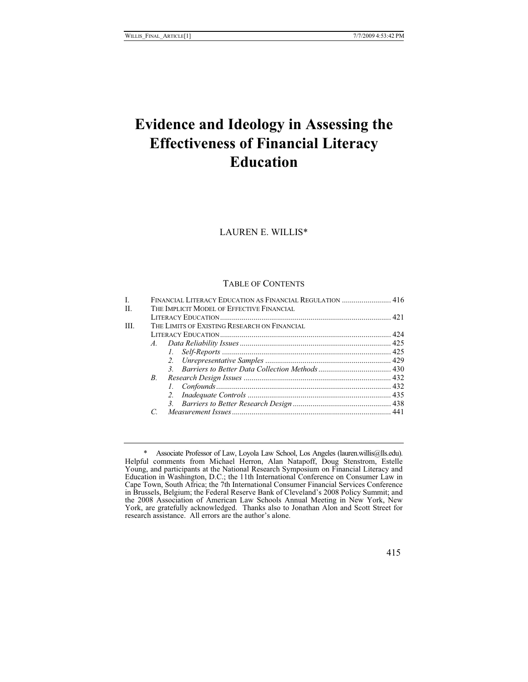# **Evidence and Ideology in Assessing the Effectiveness of Financial Literacy Education**

LAUREN E. WILLIS\*

# TABLE OF CONTENTS

| H.  |                | THE IMPLICIT MODEL OF EFFECTIVE FINANCIAL    |  |  |
|-----|----------------|----------------------------------------------|--|--|
|     |                |                                              |  |  |
| HL. |                | THE LIMITS OF EXISTING RESEARCH ON FINANCIAL |  |  |
|     |                |                                              |  |  |
|     |                |                                              |  |  |
|     |                |                                              |  |  |
|     |                |                                              |  |  |
|     |                |                                              |  |  |
|     | $B_{\cdot}$    |                                              |  |  |
|     |                |                                              |  |  |
|     |                |                                              |  |  |
|     |                |                                              |  |  |
|     | $\overline{C}$ |                                              |  |  |
|     |                |                                              |  |  |

 <sup>\*</sup> Associate Professor of Law, Loyola Law School, Los Angeles (lauren.willis@lls.edu). Helpful comments from Michael Herron, Alan Natapoff, Doug Stenstrom, Estelle Young, and participants at the National Research Symposium on Financial Literacy and Education in Washington, D.C.; the 11th International Conference on Consumer Law in Cape Town, South Africa; the 7th International Consumer Financial Services Conference in Brussels, Belgium; the Federal Reserve Bank of Cleveland's 2008 Policy Summit; and the 2008 Association of American Law Schools Annual Meeting in New York, New York, are gratefully acknowledged. Thanks also to Jonathan Alon and Scott Street for research assistance. All errors are the author's alone.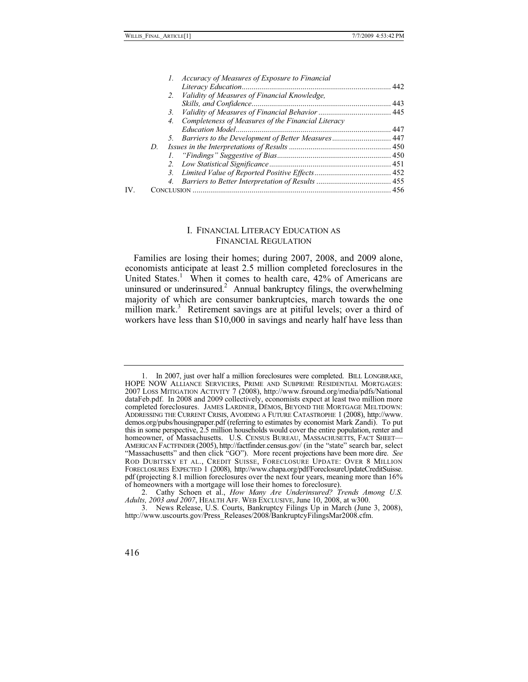|     |    | 1. Accuracy of Measures of Exposure to Financial         |  |
|-----|----|----------------------------------------------------------|--|
|     |    |                                                          |  |
|     |    | 2. Validity of Measures of Financial Knowledge,          |  |
|     |    |                                                          |  |
|     |    |                                                          |  |
|     |    | Completeness of Measures of the Financial Literacy<br>4. |  |
|     |    |                                                          |  |
|     |    | 5. Barriers to the Development of Better Measures 447    |  |
|     | D. |                                                          |  |
|     |    |                                                          |  |
|     |    |                                                          |  |
|     |    |                                                          |  |
|     |    |                                                          |  |
| IV. |    |                                                          |  |
|     |    |                                                          |  |

## I. FINANCIAL LITERACY EDUCATION AS FINANCIAL REGULATION

Families are losing their homes; during 2007, 2008, and 2009 alone, economists anticipate at least 2.5 million completed foreclosures in the United States.<sup>1</sup> When it comes to health care,  $42\%$  of Americans are uninsured or underinsured.<sup>2</sup> Annual bankruptcy filings, the overwhelming majority of which are consumer bankruptcies, march towards the one million mark.<sup>3</sup> Retirement savings are at pitiful levels; over a third of workers have less than \$10,000 in savings and nearly half have less than

<sup>1.</sup> In 2007, just over half a million foreclosures were completed. BILL LONGBRAKE, HOPE NOW ALLIANCE SERVICERS, PRIME AND SUBPRIME RESIDENTIAL MORTGAGES: 2007 LOSS MITIGATION ACTIVITY 7 (2008), http://www.fsround.org/media/ dataFeb.pdf. In 2008 and 2009 collectively, economists expect at least two million more completed foreclosures. JAMES LARDNER, DEMOS, BEYOND THE MORTGAGE MELTDOWN: ADDRESSING THE CURRENT CRISIS, AVOIDING A FUTURE CATASTROPHE 1 (2008), http://www. demos.org/pubs/housingpaper.pdf (referring to estimates by economist Mark Zandi). To put this in some perspective, 2.5 million households would cover the entire population, renter and homeowner, of Massachusetts. U.S. CENSUS BUREAU, MASSACHUSETTS, FACT SHEET— AMERICAN FACTFINDER (2005), http://factfinder.census.gov/ (in the "state" search bar, select "Massachusetts" and then click "GO"). More recent projections have been more dire. *See* ROD DUBITSKY ET AL., CREDIT SUISSE, FORECLOSURE UPDATE: OVER 8 MILLION FORECLOSURES EXPECTED 1 (2008), http://www.chapa.org/pdf/ForeclosureUpdateCreditSuisse. pdf (projecting 8.1 million foreclosures over the next four years, meaning more than 16% of homeowners with a mortgage will lose their homes to foreclosure).

 <sup>2.</sup> Cathy Schoen et al., *How Many Are Underinsured? Trends Among U.S. Adults, 2003 and 2007*, HEALTH AFF. WEB EXCLUSIVE, June 10, 2008, at w300.

 <sup>3.</sup> News Release, U.S. Courts, Bankruptcy Filings Up in March (June 3, 2008), http://www.uscourts.gov/Press\_Releases/2008/BankruptcyFilingsMar2008.cfm.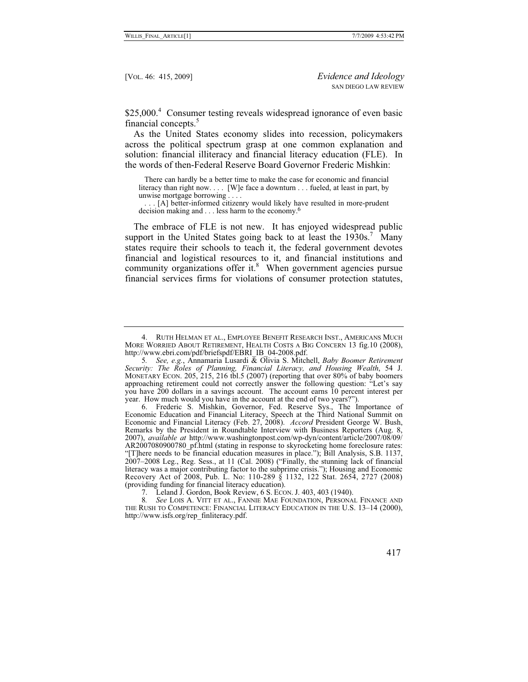\$25,000.<sup>4</sup> Consumer testing reveals widespread ignorance of even basic financial concepts.<sup>5</sup>

As the United States economy slides into recession, policymakers across the political spectrum grasp at one common explanation and solution: financial illiteracy and financial literacy education (FLE). In the words of then-Federal Reserve Board Governor Frederic Mishkin:

 There can hardly be a better time to make the case for economic and financial literacy than right now. . . . [W]e face a downturn . . . fueled, at least in part, by unwise mortgage borrowing . . . .

 . . . [A] better-informed citizenry would likely have resulted in more-prudent decision making and . . . less harm to the economy.6

The embrace of FLE is not new. It has enjoyed widespread public support in the United States going back to at least the  $1930s$ .<sup>7</sup> Many states require their schools to teach it, the federal government devotes financial and logistical resources to it, and financial institutions and community organizations offer it. $8$  When government agencies pursue financial services firms for violations of consumer protection statutes,

 <sup>4.</sup> RUTH HELMAN ET AL., EMPLOYEE BENEFIT RESEARCH INST., AMERICANS MUCH MORE WORRIED ABOUT RETIREMENT, HEALTH COSTS A BIG CONCERN 13 fig.10 (2008), http://www.ebri.com/pdf/briefspdf/EBRI\_IB\_04-2008.pdf.

<sup>5</sup>*. See, e.g.*, Annamaria Lusardi & Olivia S. Mitchell, *Baby Boomer Retirement Security: The Roles of Planning, Financial Literacy, and Housing Wealth*, 54 J. MONETARY ECON. 205, 215, 216 tbl.5 (2007) (reporting that over 80% of baby boomers approaching retirement could not correctly answer the following question: "Let's say you have 200 dollars in a savings account. The account earns 10 percent interest per year. How much would you have in the account at the end of two years?").

 <sup>6.</sup> Frederic S. Mishkin, Governor, Fed. Reserve Sys., The Importance of Economic Education and Financial Literacy, Speech at the Third National Summit on Economic and Financial Literacy (Feb. 27, 2008). *Accord* President George W. Bush, Remarks by the President in Roundtable Interview with Business Reporters (Aug. 8, 2007), *available at* http://www.washingtonpost.com/wp-dyn/content/article/2007/08/09/ AR2007080900780 pf.html (stating in response to skyrocketing home foreclosure rates: "[T]here needs to be financial education measures in place."); Bill Analysis, S.B. 1137, 2007–2008 Leg., Reg. Sess., at 11 (Cal. 2008) ("Finally, the stunning lack of financial literacy was a major contributing factor to the subprime crisis."); Housing and Economic Recovery Act of 2008, Pub. L. No: 110-289 § 1132, 122 Stat. 2654, 2727 (2008) (providing funding for financial literacy education).

 <sup>7.</sup> Leland J. Gordon, Book Review, 6 S. ECON. J. 403, 403 (1940).

<sup>8</sup>*. See* LOIS A. VITT ET AL., FANNIE MAE FOUNDATION, PERSONAL FINANCE AND THE RUSH TO COMPETENCE: FINANCIAL LITERACY EDUCATION IN THE U.S. 13–14 (2000), http://www.isfs.org/rep\_finliteracy.pdf.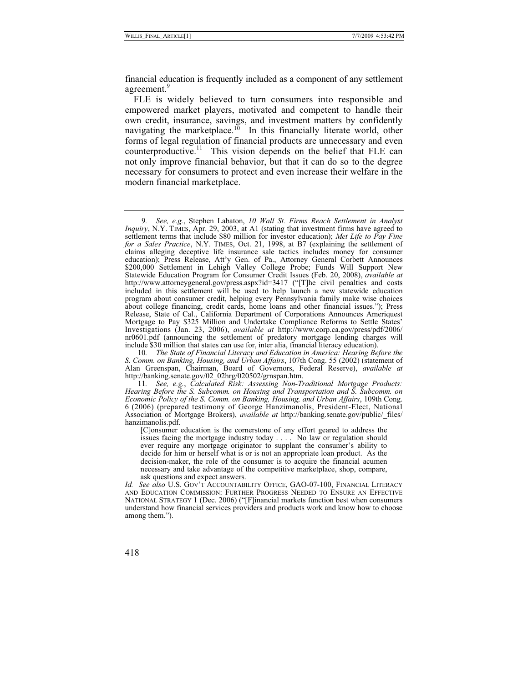financial education is frequently included as a component of any settlement agreement.<sup>9</sup>

FLE is widely believed to turn consumers into responsible and empowered market players, motivated and competent to handle their own credit, insurance, savings, and investment matters by confidently navigating the marketplace.<sup>10</sup> In this financially literate world, other forms of legal regulation of financial products are unnecessary and even counterproductive.<sup>11</sup> This vision depends on the belief that FLE can not only improve financial behavior, but that it can do so to the degree necessary for consumers to protect and even increase their welfare in the modern financial marketplace.

<sup>9</sup>*. See, e.g.*, Stephen Labaton, *10 Wall St. Firms Reach Settlement in Analyst Inquiry*, N.Y. TIMES, Apr. 29, 2003, at A1 (stating that investment firms have agreed to settlement terms that include \$80 million for investor education); *Met Life to Pay Fine for a Sales Practice*, N.Y. TIMES, Oct. 21, 1998, at B7 (explaining the settlement of claims alleging deceptive life insurance sale tactics includes money for consumer education); Press Release, Att'y Gen. of Pa., Attorney General Corbett Announces \$200,000 Settlement in Lehigh Valley College Probe; Funds Will Support New Statewide Education Program for Consumer Credit Issues (Feb. 20, 2008), *available at*  http://www.attorneygeneral.gov/press.aspx?id=3417 ("[T]he civil penalties and costs included in this settlement will be used to help launch a new statewide education program about consumer credit, helping every Pennsylvania family make wise choices about college financing, credit cards, home loans and other financial issues."); Press Release, State of Cal., California Department of Corporations Announces Ameriquest Mortgage to Pay \$325 Million and Undertake Compliance Reforms to Settle States' Investigations (Jan. 23, 2006), *available at* http://www.corp.ca.gov/press/pdf/2006/ nr0601.pdf (announcing the settlement of predatory mortgage lending charges will include \$30 million that states can use for, inter alia, financial literacy education).

<sup>10</sup>*. The State of Financial Literacy and Education in America: Hearing Before the S. Comm. on Banking, Housing, and Urban Affairs*, 107th Cong. 55 (2002) (statement of Alan Greenspan, Chairman, Board of Governors, Federal Reserve), *available at* http://banking.senate.gov/02\_02hrg/020502/grnspan.htm.

<sup>11</sup>*. See, e.g.*, *Calculated Risk: Assessing Non-Traditional Mortgage Products: Hearing Before the S. Subcomm. on Housing and Transportation and S. Subcomm. on Economic Policy of the S. Comm. on Banking, Housing, and Urban Affairs*, 109th Cong. 6 (2006) (prepared testimony of George Hanzimanolis, President-Elect, National Association of Mortgage Brokers), *available at* http://banking.senate.gov/public/\_files/ hanzimanolis.pdf.

<sup>[</sup>C]onsumer education is the cornerstone of any effort geared to address the issues facing the mortgage industry today . . . . No law or regulation should ever require any mortgage originator to supplant the consumer's ability to decide for him or herself what is or is not an appropriate loan product. As the decision-maker, the role of the consumer is to acquire the financial acumen necessary and take advantage of the competitive marketplace, shop, compare, ask questions and expect answers.

*Id. See also* U.S. GOV'T ACCOUNTABILITY OFFICE, GAO-07-100, FINANCIAL LITERACY AND EDUCATION COMMISSION: FURTHER PROGRESS NEEDED TO ENSURE AN EFFECTIVE NATIONAL STRATEGY 1 (Dec. 2006) ("[F]inancial markets function best when consumers understand how financial services providers and products work and know how to choose among them.").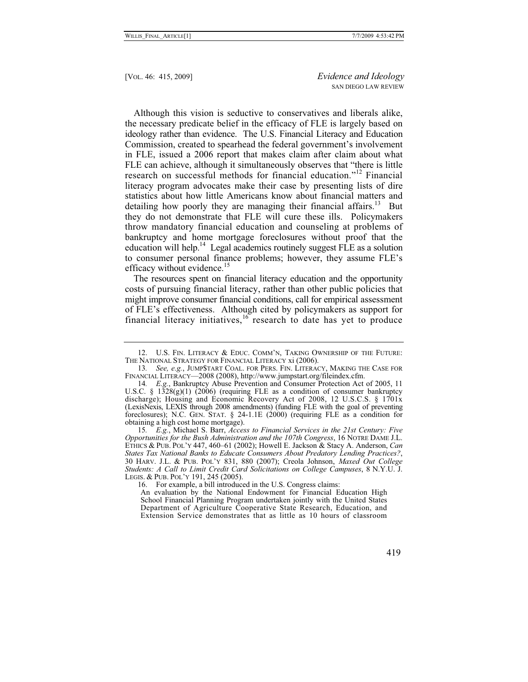Although this vision is seductive to conservatives and liberals alike, the necessary predicate belief in the efficacy of FLE is largely based on ideology rather than evidence. The U.S. Financial Literacy and Education Commission, created to spearhead the federal government's involvement in FLE, issued a 2006 report that makes claim after claim about what FLE can achieve, although it simultaneously observes that "there is little research on successful methods for financial education."12 Financial literacy program advocates make their case by presenting lists of dire statistics about how little Americans know about financial matters and detailing how poorly they are managing their financial affairs.<sup>13</sup> But they do not demonstrate that FLE will cure these ills. Policymakers throw mandatory financial education and counseling at problems of bankruptcy and home mortgage foreclosures without proof that the education will help.<sup>14</sup> Legal academics routinely suggest FLE as a solution to consumer personal finance problems; however, they assume FLE's efficacy without evidence.<sup>15</sup>

The resources spent on financial literacy education and the opportunity costs of pursuing financial literacy, rather than other public policies that might improve consumer financial conditions, call for empirical assessment of FLE's effectiveness. Although cited by policymakers as support for financial literacy initiatives,  $16$  research to date has yet to produce

 <sup>12.</sup> U.S. FIN. LITERACY & EDUC. COMM'N, TAKING OWNERSHIP OF THE FUTURE: THE NATIONAL STRATEGY FOR FINANCIAL LITERACY xi (2006).

<sup>13</sup>*. See, e.g.*, JUMP\$TART COAL. FOR PERS. FIN. LITERACY, MAKING THE CASE FOR FINANCIAL LITERACY—2008 (2008), http://www.jumpstart.org/fileindex.cfm.

<sup>14</sup>*. E.g.*, Bankruptcy Abuse Prevention and Consumer Protection Act of 2005, 11 U.S.C. §  $1328(g)(1)$  (2006) (requiring FLE as a condition of consumer bankruptcy discharge); Housing and Economic Recovery Act of 2008, 12 U.S.C.S. § 1701x (LexisNexis, LEXIS through 2008 amendments) (funding FLE with the goal of preventing foreclosures); N.C. GEN. STAT. § 24-1.1E (2000) (requiring FLE as a condition for obtaining a high cost home mortgage).

<sup>15</sup>*. E.g.*, Michael S. Barr, *Access to Financial Services in the 21st Century: Five Opportunities for the Bush Administration and the 107th Congress*, 16 NOTRE DAME J.L. ETHICS & PUB. POL'Y 447, 460–61 (2002); Howell E. Jackson & Stacy A. Anderson, *Can States Tax National Banks to Educate Consumers About Predatory Lending Practices?*, 30 HARV. J.L. & PUB. POL'Y 831, 880 (2007); Creola Johnson, *Maxed Out College Students: A Call to Limit Credit Card Solicitations on College Campuses*, 8 N.Y.U. J. LEGIS. & PUB. POL'Y 191, 245 (2005).

 <sup>16.</sup> For example, a bill introduced in the U.S. Congress claims:

An evaluation by the National Endowment for Financial Education High School Financial Planning Program undertaken jointly with the United States Department of Agriculture Cooperative State Research, Education, and Extension Service demonstrates that as little as 10 hours of classroom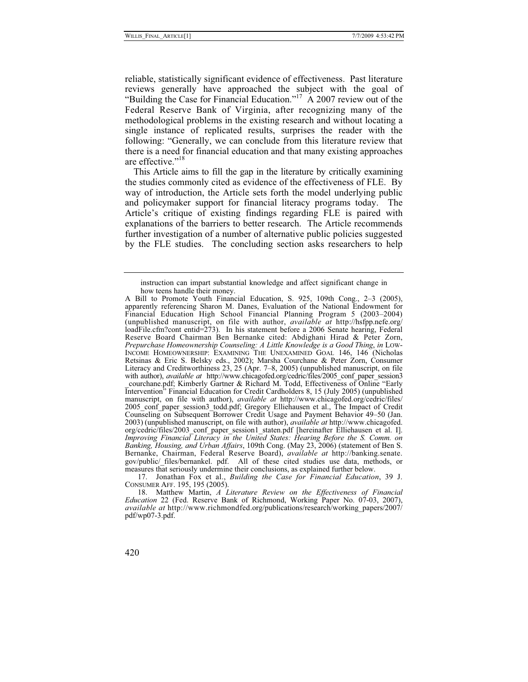reliable, statistically significant evidence of effectiveness. Past literature reviews generally have approached the subject with the goal of "Building the Case for Financial Education."<sup>17</sup> A 2007 review out of the Federal Reserve Bank of Virginia, after recognizing many of the methodological problems in the existing research and without locating a single instance of replicated results, surprises the reader with the following: "Generally, we can conclude from this literature review that there is a need for financial education and that many existing approaches are effective."<sup>18</sup>

This Article aims to fill the gap in the literature by critically examining the studies commonly cited as evidence of the effectiveness of FLE. By way of introduction, the Article sets forth the model underlying public and policymaker support for financial literacy programs today. The Article's critique of existing findings regarding FLE is paired with explanations of the barriers to better research. The Article recommends further investigation of a number of alternative public policies suggested by the FLE studies. The concluding section asks researchers to help

 17. Jonathan Fox et al., *Building the Case for Financial Education*, 39 J. CONSUMER AFF. 195, 195 (2005).

instruction can impart substantial knowledge and affect significant change in how teens handle their money.

A Bill to Promote Youth Financial Education, S. 925, 109th Cong., 2–3 (2005), apparently referencing Sharon M. Danes, Evaluation of the National Endowment for Financial Education High School Financial Planning Program 5 (2003–2004) (unpublished manuscript, on file with author, *available at* http://hsfpp.nefe.org/ loadFile.cfm?cont entid=273). In his statement before a 2006 Senate hearing, Federal Reserve Board Chairman Ben Bernanke cited: Abdighani Hirad & Peter Zorn, *Prepurchase Homeownership Counseling: A Little Knowledge is a Good Thing*, *in* LOW-INCOME HOMEOWNERSHIP: EXAMINING THE UNEXAMINED GOAL 146, 146 (Nicholas Retsinas & Eric S. Belsky eds., 2002); Marsha Courchane & Peter Zorn, Consumer Literacy and Creditworthiness 23, 25 (Apr. 7–8, 2005) (unpublished manuscript, on file with author), *available at* http://www.chicagofed.org/cedric/files/2005\_conf\_paper\_session3 \_courchane.pdf; Kimberly Gartner & Richard M. Todd, Effectiveness of Online "Early Intervention" Financial Education for Credit Cardholders 8, 15 (July 2005) (unpublished manuscript, on file with author), *available at* http://www.chicagofed.org/cedric/files/ 2005\_conf\_paper\_session3\_todd.pdf; Gregory Elliehausen et al., The Impact of Credit Counseling on Subsequent Borrower Credit Usage and Payment Behavior 49–50 (Jan. 2003) (unpublished manuscript, on file with author), *available at* http://www.chicagofed. org/cedric/files/2003\_conf\_paper\_session1\_staten.pdf [hereinafter Elliehausen et al. I]. *Improving Financial Literacy in the United States: Hearing Before the S. Comm. on Banking, Housing, and Urban Affairs*, 109th Cong. (May 23, 2006) (statement of Ben S. Bernanke, Chairman, Federal Reserve Board), *available at* http://banking.senate. gov/public/\_files/bernankel. pdf. All of these cited studies use data, methods, or measures that seriously undermine their conclusions, as explained further below.

 <sup>18.</sup> Matthew Martin, *A Literature Review on the Effectiveness of Financial Education* 22 (Fed. Reserve Bank of Richmond, Working Paper No. 07-03, 2007), *available at* http://www.richmondfed.org/publications/research/working\_papers/2007/ pdf/wp07-3.pdf.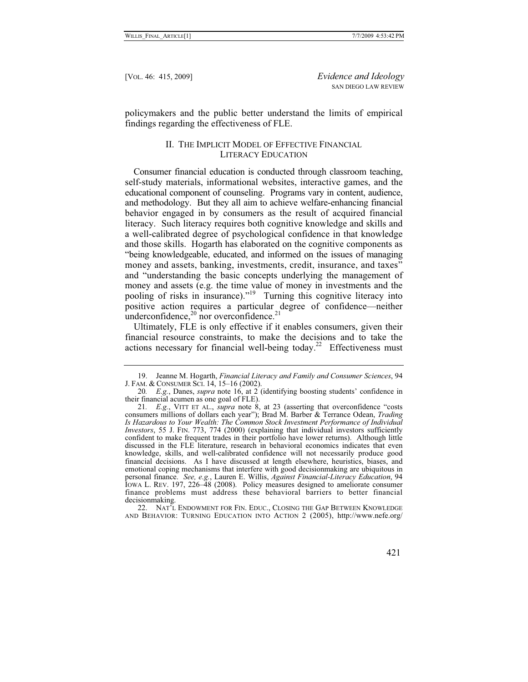policymakers and the public better understand the limits of empirical findings regarding the effectiveness of FLE.

# II. THE IMPLICIT MODEL OF EFFECTIVE FINANCIAL LITERACY EDUCATION

Consumer financial education is conducted through classroom teaching, self-study materials, informational websites, interactive games, and the educational component of counseling. Programs vary in content, audience, and methodology. But they all aim to achieve welfare-enhancing financial behavior engaged in by consumers as the result of acquired financial literacy. Such literacy requires both cognitive knowledge and skills and a well-calibrated degree of psychological confidence in that knowledge and those skills. Hogarth has elaborated on the cognitive components as "being knowledgeable, educated, and informed on the issues of managing money and assets, banking, investments, credit, insurance, and taxes" and "understanding the basic concepts underlying the management of money and assets (e.g. the time value of money in investments and the pooling of risks in insurance)."<sup>19</sup> Turning this cognitive literacy into positive action requires a particular degree of confidence—neither underconfidence, $^{20}$  nor overconfidence. $^{21}$ 

Ultimately, FLE is only effective if it enables consumers, given their financial resource constraints, to make the decisions and to take the actions necessary for financial well-being today.<sup>22</sup> Effectiveness must

 22. NAT'L ENDOWMENT FOR FIN. EDUC., CLOSING THE GAP BETWEEN KNOWLEDGE AND BEHAVIOR: TURNING EDUCATION INTO ACTION 2 (2005), http://www.nefe.org/

 <sup>19.</sup> Jeanne M. Hogarth, *Financial Literacy and Family and Consumer Sciences*, 94 J. FAM. & CONSUMER SCI. 14, 15–16 (2002).

<sup>20</sup>*. E.g.*, Danes, *supra* note 16, at 2 (identifying boosting students' confidence in their financial acumen as one goal of FLE).

<sup>21</sup>*. E.g.*, VITT ET AL., *supra* note 8, at 23 (asserting that overconfidence "costs consumers millions of dollars each year"); Brad M. Barber & Terrance Odean, *Trading Is Hazardous to Your Wealth: The Common Stock Investment Performance of Individual Investors*, 55 J. FIN. 773, 774 (2000) (explaining that individual investors sufficiently confident to make frequent trades in their portfolio have lower returns). Although little discussed in the FLE literature, research in behavioral economics indicates that even knowledge, skills, and well-calibrated confidence will not necessarily produce good financial decisions. As I have discussed at length elsewhere, heuristics, biases, and emotional coping mechanisms that interfere with good decisionmaking are ubiquitous in personal finance. *See, e.g.*, Lauren E. Willis, *Against Financial-Literacy Education*, 94 IOWA L. REV. 197, 226–48 (2008). Policy measures designed to ameliorate consumer finance problems must address these behavioral barriers to better financial decisionmaking.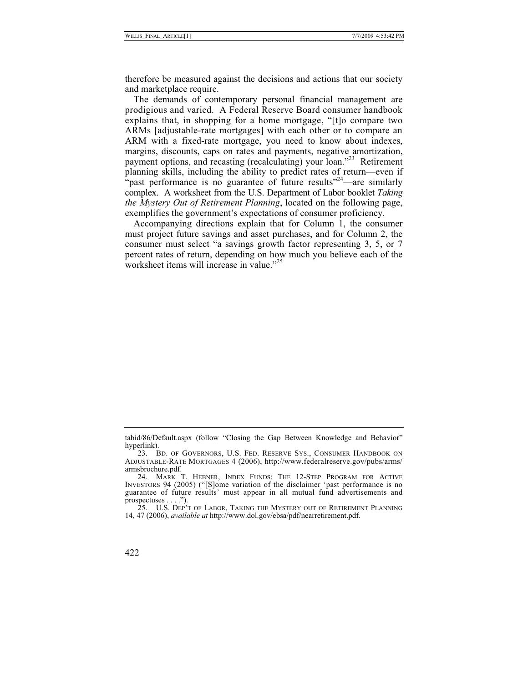therefore be measured against the decisions and actions that our society and marketplace require.

The demands of contemporary personal financial management are prodigious and varied. A Federal Reserve Board consumer handbook explains that, in shopping for a home mortgage, "[t]o compare two ARMs [adjustable-rate mortgages] with each other or to compare an ARM with a fixed-rate mortgage, you need to know about indexes, margins, discounts, caps on rates and payments, negative amortization, payment options, and recasting (recalculating) your loan."<sup>23</sup> Retirement planning skills, including the ability to predict rates of return—even if "past performance is no guarantee of future results"<sup>24</sup>—are similarly complex. A worksheet from the U.S. Department of Labor booklet *Taking the Mystery Out of Retirement Planning*, located on the following page, exemplifies the government's expectations of consumer proficiency.

Accompanying directions explain that for Column 1, the consumer must project future savings and asset purchases, and for Column 2, the consumer must select "a savings growth factor representing 3, 5, or 7 percent rates of return, depending on how much you believe each of the worksheet items will increase in value."<sup>25</sup>

tabid/86/Default.aspx (follow "Closing the Gap Between Knowledge and Behavior" hyperlink).

 <sup>23.</sup> BD. OF GOVERNORS, U.S. FED. RESERVE SYS., CONSUMER HANDBOOK ON ADJUSTABLE-RATE MORTGAGES 4 (2006), http://www.federalreserve.gov/pubs/arms/ armsbrochure.pdf.

 <sup>24.</sup> MARK T. HEBNER, INDEX FUNDS: THE 12-STEP PROGRAM FOR ACTIVE INVESTORS 94 (2005) ("[S]ome variation of the disclaimer 'past performance is no guarantee of future results' must appear in all mutual fund advertisements and prospectuses . . . .").

 <sup>25.</sup> U.S. DEP'T OF LABOR, TAKING THE MYSTERY OUT OF RETIREMENT PLANNING 14, 47 (2006), *available at* http://www.dol.gov/ebsa/pdf/nearretirement.pdf.

<sup>422</sup>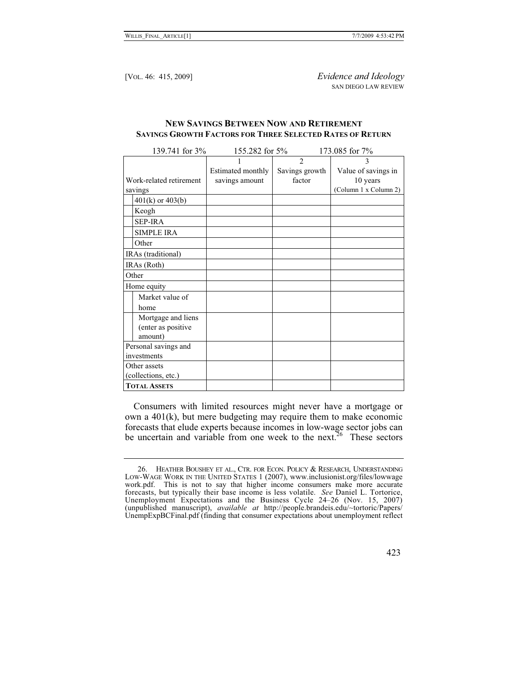# **NEW SAVINGS BETWEEN NOW AND RETIREMENT SAVINGS GROWTH FACTORS FOR THREE SELECTED RATES OF RETURN**

| 139.741 for 3%          | 155.282 for 5%    |                | 173.085 for 7%        |
|-------------------------|-------------------|----------------|-----------------------|
|                         |                   | $\mathfrak{D}$ | 3                     |
|                         | Estimated monthly | Savings growth | Value of savings in   |
| Work-related retirement | savings amount    | factor         | 10 years              |
| savings                 |                   |                | (Column 1 x Column 2) |
| $401(k)$ or $403(b)$    |                   |                |                       |
| Keogh                   |                   |                |                       |
| <b>SEP-IRA</b>          |                   |                |                       |
| <b>SIMPLE IRA</b>       |                   |                |                       |
| Other                   |                   |                |                       |
| IRAs (traditional)      |                   |                |                       |
| IRAs (Roth)             |                   |                |                       |
| Other                   |                   |                |                       |
| Home equity             |                   |                |                       |
| Market value of         |                   |                |                       |
| home                    |                   |                |                       |
| Mortgage and liens      |                   |                |                       |
| (enter as positive      |                   |                |                       |
| amount)                 |                   |                |                       |
| Personal savings and    |                   |                |                       |
| investments             |                   |                |                       |
| Other assets            |                   |                |                       |
| (collections, etc.)     |                   |                |                       |
| <b>TOTAL ASSETS</b>     |                   |                |                       |

Consumers with limited resources might never have a mortgage or own a 401(k), but mere budgeting may require them to make economic forecasts that elude experts because incomes in low-wage sector jobs can be uncertain and variable from one week to the next.<sup>26</sup> These sectors

423

 <sup>26.</sup> HEATHER BOUSHEY ET AL., CTR. FOR ECON. POLICY & RESEARCH, UNDERSTANDING LOW-WAGE WORK IN THE UNITED STATES 1 (2007), www.inclusionist.org/files/lowwage work.pdf. This is not to say that higher income consumers make more accurate forecasts, but typically their base income is less volatile. *See* Daniel L. Tortorice, Unemployment Expectations and the Business Cycle 24–26 (Nov. 15, 2007) (unpublished manuscript), *available at* http://people.brandeis.edu/~tortoric/Papers/ UnempExpBCFinal.pdf (finding that consumer expectations about unemployment reflect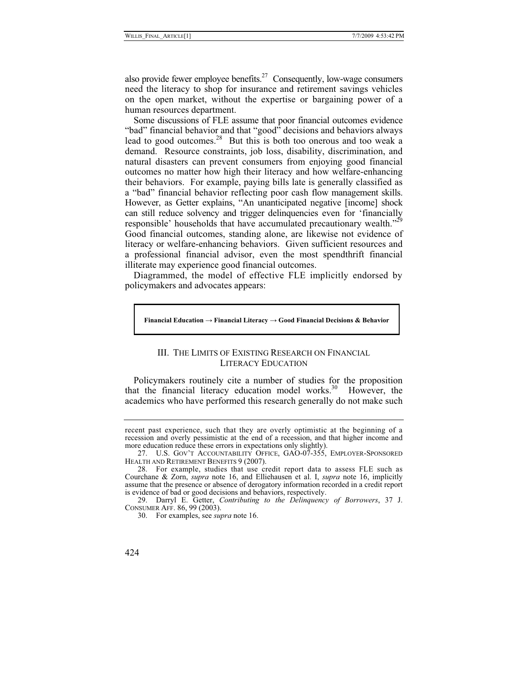also provide fewer employee benefits.<sup>27</sup> Consequently, low-wage consumers need the literacy to shop for insurance and retirement savings vehicles on the open market, without the expertise or bargaining power of a human resources department.

Some discussions of FLE assume that poor financial outcomes evidence "bad" financial behavior and that "good" decisions and behaviors always lead to good outcomes.<sup>28</sup> But this is both too onerous and too weak a demand. Resource constraints, job loss, disability, discrimination, and natural disasters can prevent consumers from enjoying good financial outcomes no matter how high their literacy and how welfare-enhancing their behaviors. For example, paying bills late is generally classified as a "bad" financial behavior reflecting poor cash flow management skills. However, as Getter explains, "An unanticipated negative [income] shock can still reduce solvency and trigger delinquencies even for 'financially responsible' households that have accumulated precautionary wealth."<sup>29</sup> Good financial outcomes, standing alone, are likewise not evidence of literacy or welfare-enhancing behaviors. Given sufficient resources and a professional financial advisor, even the most spendthrift financial illiterate may experience good financial outcomes.

Diagrammed, the model of effective FLE implicitly endorsed by policymakers and advocates appears:

#### **Financial Education - Financial Literacy - Good Financial Decisions & Behavior**

# III. THE LIMITS OF EXISTING RESEARCH ON FINANCIAL LITERACY EDUCATION

Policymakers routinely cite a number of studies for the proposition that the financial literacy education model works.<sup>30</sup> However, the academics who have performed this research generally do not make such

recent past experience, such that they are overly optimistic at the beginning of a recession and overly pessimistic at the end of a recession, and that higher income and more education reduce these errors in expectations only slightly).

 <sup>27.</sup> U.S. GOV'T ACCOUNTABILITY OFFICE, GAO-07-355, EMPLOYER-SPONSORED HEALTH AND RETIREMENT BENEFITS 9 (2007).

 <sup>28.</sup> For example, studies that use credit report data to assess FLE such as Courchane & Zorn, *supra* note 16, and Elliehausen et al. I, *supra* note 16, implicitly assume that the presence or absence of derogatory information recorded in a credit report is evidence of bad or good decisions and behaviors, respectively.

 <sup>29.</sup> Darryl E. Getter, *Contributing to the Delinquency of Borrowers*, 37 J. CONSUMER AFF. 86, 99 (2003).

 <sup>30.</sup> For examples, see *supra* note 16.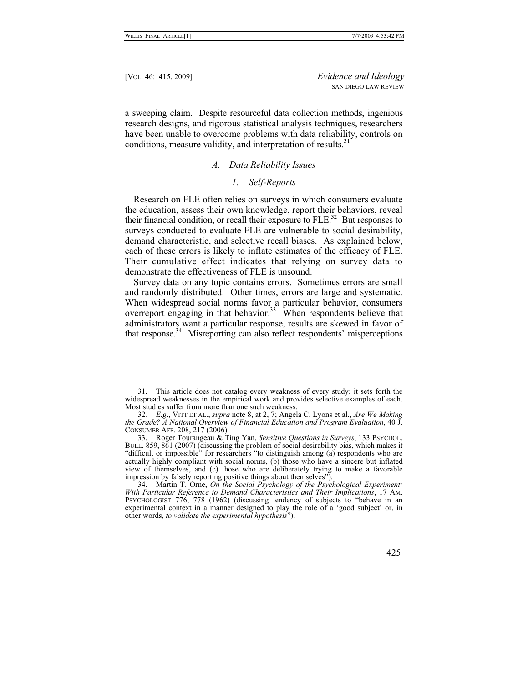a sweeping claim. Despite resourceful data collection methods, ingenious research designs, and rigorous statistical analysis techniques, researchers have been unable to overcome problems with data reliability, controls on conditions, measure validity, and interpretation of results.<sup>31</sup>

# *A. Data Reliability Issues*

#### *1. Self-Reports*

Research on FLE often relies on surveys in which consumers evaluate the education, assess their own knowledge, report their behaviors, reveal their financial condition, or recall their exposure to  $FLE$ <sup>32</sup> But responses to surveys conducted to evaluate FLE are vulnerable to social desirability, demand characteristic, and selective recall biases. As explained below, each of these errors is likely to inflate estimates of the efficacy of FLE. Their cumulative effect indicates that relying on survey data to demonstrate the effectiveness of FLE is unsound.

Survey data on any topic contains errors. Sometimes errors are small and randomly distributed. Other times, errors are large and systematic. When widespread social norms favor a particular behavior, consumers overreport engaging in that behavior.<sup>33</sup> When respondents believe that administrators want a particular response, results are skewed in favor of that response. $34$  Misreporting can also reflect respondents' misperceptions

 <sup>31.</sup> This article does not catalog every weakness of every study; it sets forth the widespread weaknesses in the empirical work and provides selective examples of each. Most studies suffer from more than one such weakness.

<sup>32</sup>*. E.g.*, VITT ET AL., *supra* note 8, at 2, 7; Angela C. Lyons et al., *Are We Making the Grade? A National Overview of Financial Education and Program Evaluation*, 40 J. CONSUMER AFF. 208, 217 (2006).<br>33. Roger Tourangeau & Ting Yan, Sensitive Questions in Surveys, 133 PSYCHOL.

 <sup>33.</sup> Roger Tourangeau & Ting Yan, *Sensitive Questions in Surveys*, 133 PSYCHOL. BULL. 859, 861 (2007) (discussing the problem of social desirability bias, which makes it "difficult or impossible" for researchers "to distinguish among (a) respondents who are actually highly compliant with social norms, (b) those who have a sincere but inflated view of themselves, and (c) those who are deliberately trying to make a favorable impression by falsely reporting positive things about themselves").

 <sup>34.</sup> Martin T. Orne, *On the Social Psychology of the Psychological Experiment: With Particular Reference to Demand Characteristics and Their Implications*, 17 AM. PSYCHOLOGIST 776, 778 (1962) (discussing tendency of subjects to "behave in an experimental context in a manner designed to play the role of a 'good subject' or, in other words, *to validate the experimental hypothesis*").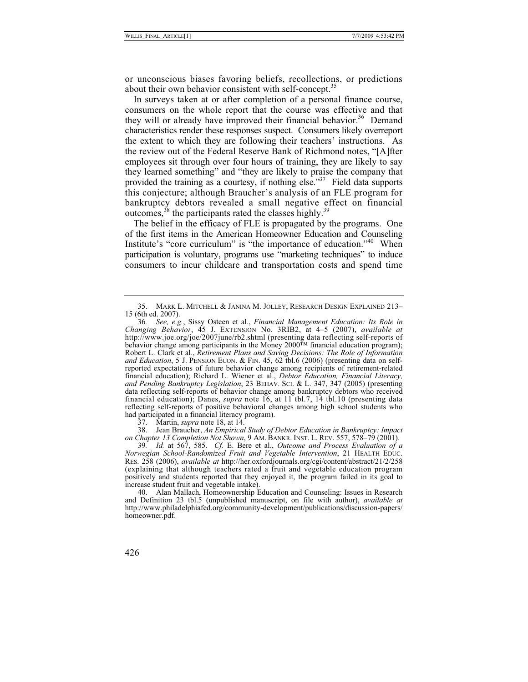or unconscious biases favoring beliefs, recollections, or predictions about their own behavior consistent with self-concept.<sup>35</sup>

In surveys taken at or after completion of a personal finance course, consumers on the whole report that the course was effective and that they will or already have improved their financial behavior.<sup>36</sup> Demand characteristics render these responses suspect. Consumers likely overreport the extent to which they are following their teachers' instructions. As the review out of the Federal Reserve Bank of Richmond notes, "[A]fter employees sit through over four hours of training, they are likely to say they learned something" and "they are likely to praise the company that provided the training as a courtesy, if nothing else."<sup>37</sup> Field data supports this conjecture; although Braucher's analysis of an FLE program for bankruptcy debtors revealed a small negative effect on financial outcomes,  $38$  the participants rated the classes highly.<sup>39</sup>

The belief in the efficacy of FLE is propagated by the programs. One of the first items in the American Homeowner Education and Counseling Institute's "core curriculum" is "the importance of education."40 When participation is voluntary, programs use "marketing techniques" to induce consumers to incur childcare and transportation costs and spend time

 38. Jean Braucher, *An Empirical Study of Debtor Education in Bankruptcy: Impact on Chapter 13 Completion Not Shown*, 9 AM. BANKR. INST. L. REV. 557, 578–79 (2001).

39*. Id.* at 567, 585.*Cf.* E. Bere et al., *Outcome and Process Evaluation of a Norwegian School-Randomized Fruit and Vegetable Intervention*, 21 HEALTH EDUC. RES. 258 (2006), *available at* http://her.oxfordjournals.org/cgi/content/abstract/21/2/258 (explaining that although teachers rated a fruit and vegetable education program positively and students reported that they enjoyed it, the program failed in its goal to increase student fruit and vegetable intake).

 40. Alan Mallach, Homeownership Education and Counseling: Issues in Research and Definition 23 tbl.5 (unpublished manuscript, on file with author), *available at*  http://www.philadelphiafed.org/community-development/publications/discussion-papers/ homeowner.pdf.

 <sup>35.</sup> MARK L. MITCHELL & JANINA M. JOLLEY, RESEARCH DESIGN EXPLAINED 213– 15 (6th ed. 2007).

<sup>36</sup>*. See, e.g.*, Sissy Osteen et al., *Financial Management Education: Its Role in Changing Behavior*, 45 J. EXTENSION No. 3RIB2, at 4–5 (2007), *available at* http://www.joe.org/joe/2007june/rb2.shtml (presenting data reflecting self-reports of behavior change among participants in the Money 2000™ financial education program); Robert L. Clark et al., *Retirement Plans and Saving Decisions: The Role of Information and Education*, 5 J. PENSION ECON. & FIN. 45, 62 tbl.6 (2006) (presenting data on selfreported expectations of future behavior change among recipients of retirement-related financial education); Richard L. Wiener et al., *Debtor Education, Financial Literacy, and Pending Bankruptcy Legislation*, 23 BEHAV. SCI. & L. 347, 347 (2005) (presenting data reflecting self-reports of behavior change among bankruptcy debtors who received financial education); Danes, *supra* note 16, at 11 tbl.7, 14 tbl.10 (presenting data reflecting self-reports of positive behavioral changes among high school students who had participated in a financial literacy program).

 <sup>37.</sup> Martin, *supra* note 18, at 14.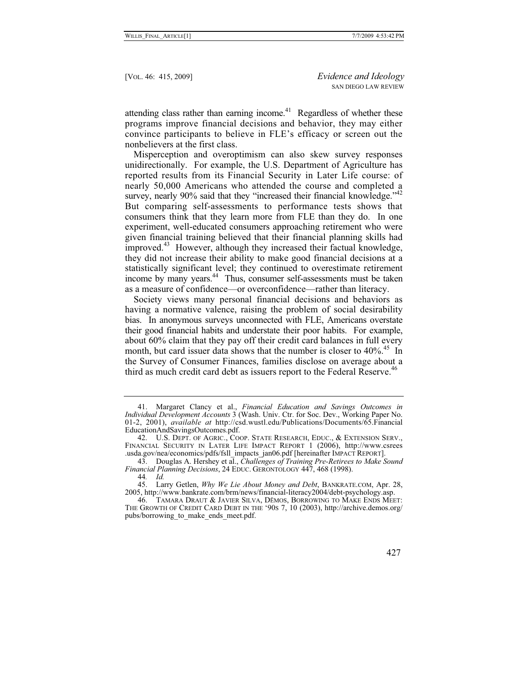attending class rather than earning income.<sup>41</sup> Regardless of whether these programs improve financial decisions and behavior, they may either convince participants to believe in FLE's efficacy or screen out the nonbelievers at the first class.

Misperception and overoptimism can also skew survey responses unidirectionally. For example, the U.S. Department of Agriculture has reported results from its Financial Security in Later Life course: of nearly 50,000 Americans who attended the course and completed a survey, nearly 90% said that they "increased their financial knowledge."<sup>42</sup> But comparing self-assessments to performance tests shows that consumers think that they learn more from FLE than they do. In one experiment, well-educated consumers approaching retirement who were given financial training believed that their financial planning skills had improved.<sup>43</sup> However, although they increased their factual knowledge, they did not increase their ability to make good financial decisions at a statistically significant level; they continued to overestimate retirement income by many years.<sup>44</sup> Thus, consumer self-assessments must be taken as a measure of confidence—or overconfidence—rather than literacy.

Society views many personal financial decisions and behaviors as having a normative valence, raising the problem of social desirability bias. In anonymous surveys unconnected with FLE, Americans overstate their good financial habits and understate their poor habits. For example, about 60% claim that they pay off their credit card balances in full every month, but card issuer data shows that the number is closer to  $40\%$ .<sup>45</sup> In the Survey of Consumer Finances, families disclose on average about a third as much credit card debt as issuers report to the Federal Reserve.<sup>46</sup>

<sup>46.</sup> TAMARA DRAUT & JAVIER SILVA, DĒMOS, BORROWING TO MAKE ENDS MEET: THE GROWTH OF CREDIT CARD DEBT IN THE '90S 7, 10 (2003), http://archive.demos.org/ pubs/borrowing to make ends meet.pdf.



 <sup>41.</sup> Margaret Clancy et al., *Financial Education and Savings Outcomes in Individual Development Accounts* 3 (Wash. Univ. Ctr. for Soc. Dev., Working Paper No. 01-2, 2001), *available at* http://csd.wustl.edu/Publications/Documents/65.Financial EducationAndSavingsOutcomes.pdf.<br>42. U.S. Dept. of Agric., Coop. State Research, Educ., & Extension Serv.,

FINANCIAL SECURITY IN LATER LIFE IMPACT REPORT 1 (2006), http://www.csrees .usda.gov/nea/economics/pdfs/fsll\_impacts\_jan06.pdf [hereinafter IMPACT REPORT].

 <sup>43.</sup> Douglas A. Hershey et al., *Challenges of Training Pre-Retirees to Make Sound Financial Planning Decisions*, 24 EDUC. GERONTOLOGY 447, 468 (1998).

<sup>44</sup>*. Id.*

 <sup>45.</sup> Larry Getlen, *Why We Lie About Money and Debt*, BANKRATE.COM, Apr. 28, 2005, http://www.bankrate.com/brm/news/financial-literacy2004/debt-psychology.asp.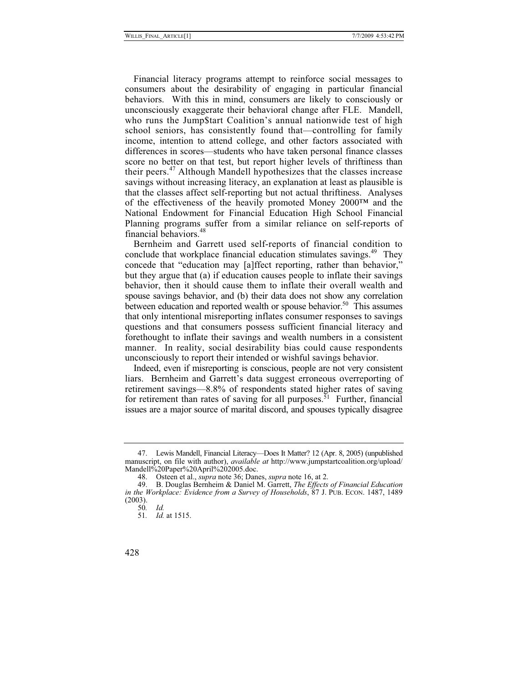Financial literacy programs attempt to reinforce social messages to consumers about the desirability of engaging in particular financial behaviors. With this in mind, consumers are likely to consciously or unconsciously exaggerate their behavioral change after FLE. Mandell, who runs the Jump\$tart Coalition's annual nationwide test of high school seniors, has consistently found that—controlling for family income, intention to attend college, and other factors associated with differences in scores—students who have taken personal finance classes score no better on that test, but report higher levels of thriftiness than their peers.47 Although Mandell hypothesizes that the classes increase savings without increasing literacy, an explanation at least as plausible is that the classes affect self-reporting but not actual thriftiness. Analyses of the effectiveness of the heavily promoted Money 2000™ and the National Endowment for Financial Education High School Financial Planning programs suffer from a similar reliance on self-reports of financial behaviors.<sup>48</sup>

Bernheim and Garrett used self-reports of financial condition to conclude that workplace financial education stimulates savings.<sup>49</sup> They concede that "education may [a]ffect reporting, rather than behavior," but they argue that (a) if education causes people to inflate their savings behavior, then it should cause them to inflate their overall wealth and spouse savings behavior, and (b) their data does not show any correlation between education and reported wealth or spouse behavior.<sup>50</sup> This assumes that only intentional misreporting inflates consumer responses to savings questions and that consumers possess sufficient financial literacy and forethought to inflate their savings and wealth numbers in a consistent manner. In reality, social desirability bias could cause respondents unconsciously to report their intended or wishful savings behavior.

Indeed, even if misreporting is conscious, people are not very consistent liars. Bernheim and Garrett's data suggest erroneous overreporting of retirement savings—8.8% of respondents stated higher rates of saving for retirement than rates of saving for all purposes.<sup>51</sup> Further, financial issues are a major source of marital discord, and spouses typically disagree

 <sup>47.</sup> Lewis Mandell, Financial Literacy—Does It Matter? 12 (Apr. 8, 2005) (unpublished manuscript, on file with author), *available at* http://www.jumpstartcoalition.org/upload/ Mandell%20Paper%20April%202005.doc.

 <sup>48.</sup> Osteen et al., *supra* note 36; Danes, *supra* note 16, at 2.

 <sup>49.</sup> B. Douglas Bernheim & Daniel M. Garrett, *The Effects of Financial Education in the Workplace: Evidence from a Survey of Households*, 87 J. PUB. ECON. 1487, 1489 (2003).

<sup>50</sup>*. Id.*

<sup>51</sup>*. Id.* at 1515.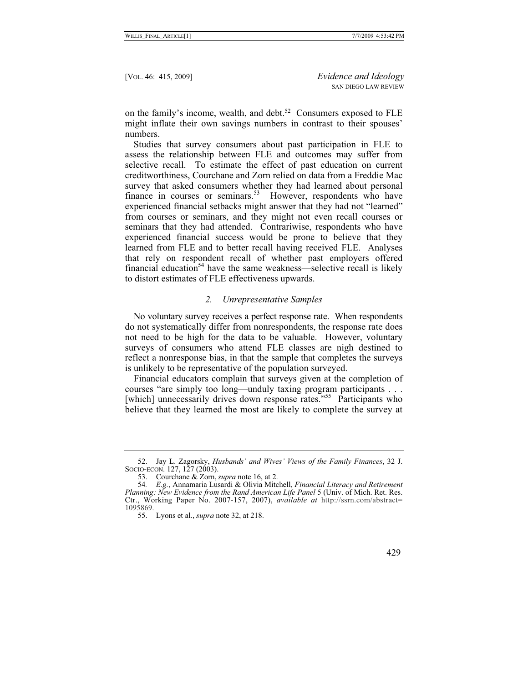on the family's income, wealth, and debt.<sup>52</sup> Consumers exposed to FLE might inflate their own savings numbers in contrast to their spouses' numbers.

Studies that survey consumers about past participation in FLE to assess the relationship between FLE and outcomes may suffer from selective recall. To estimate the effect of past education on current creditworthiness, Courchane and Zorn relied on data from a Freddie Mac survey that asked consumers whether they had learned about personal finance in courses or seminars.<sup>53</sup> However, respondents who have experienced financial setbacks might answer that they had not "learned" from courses or seminars, and they might not even recall courses or seminars that they had attended. Contrariwise, respondents who have experienced financial success would be prone to believe that they learned from FLE and to better recall having received FLE. Analyses that rely on respondent recall of whether past employers offered financial education<sup>54</sup> have the same weakness—selective recall is likely to distort estimates of FLE effectiveness upwards.

#### *2. Unrepresentative Samples*

No voluntary survey receives a perfect response rate. When respondents do not systematically differ from nonrespondents, the response rate does not need to be high for the data to be valuable. However, voluntary surveys of consumers who attend FLE classes are nigh destined to reflect a nonresponse bias, in that the sample that completes the surveys is unlikely to be representative of the population surveyed.

Financial educators complain that surveys given at the completion of courses "are simply too long—unduly taxing program participants . . . [which] unnecessarily drives down response rates."<sup>55</sup> Participants who believe that they learned the most are likely to complete the survey at

 <sup>52.</sup> Jay L. Zagorsky, *Husbands' and Wives' Views of the Family Finances*, 32 J. SOCIO-ECON. 127, 127 (2003).

 <sup>53.</sup> Courchane & Zorn, *supra* note 16, at 2.

<sup>54</sup>*. E.g.*, Annamaria Lusardi & Olivia Mitchell, *Financial Literacy and Retirement Planning: New Evidence from the Rand American Life Panel* 5 (Univ. of Mich. Ret. Res. Ctr., Working Paper No. 2007-157, 2007), *available at* http://ssrn.com/abstract= 1095869.

 <sup>55.</sup> Lyons et al., *supra* note 32, at 218.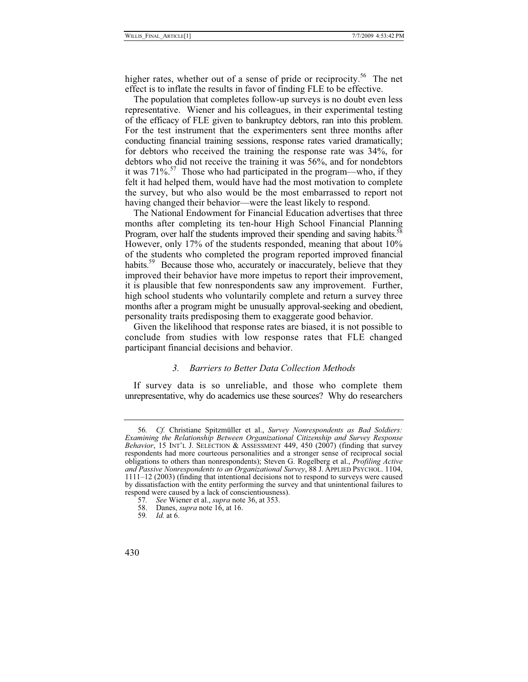higher rates, whether out of a sense of pride or reciprocity.<sup>56</sup> The net effect is to inflate the results in favor of finding FLE to be effective.

The population that completes follow-up surveys is no doubt even less representative. Wiener and his colleagues, in their experimental testing of the efficacy of FLE given to bankruptcy debtors, ran into this problem. For the test instrument that the experimenters sent three months after conducting financial training sessions, response rates varied dramatically; for debtors who received the training the response rate was 34%, for debtors who did not receive the training it was 56%, and for nondebtors it was  $71\%$ <sup>57</sup> Those who had participated in the program—who, if they felt it had helped them, would have had the most motivation to complete the survey, but who also would be the most embarrassed to report not having changed their behavior—were the least likely to respond.

The National Endowment for Financial Education advertises that three months after completing its ten-hour High School Financial Planning Program, over half the students improved their spending and saving habits.<sup>58</sup> However, only 17% of the students responded, meaning that about 10% of the students who completed the program reported improved financial habits.<sup>59</sup> Because those who, accurately or inaccurately, believe that they improved their behavior have more impetus to report their improvement, it is plausible that few nonrespondents saw any improvement. Further, high school students who voluntarily complete and return a survey three months after a program might be unusually approval-seeking and obedient, personality traits predisposing them to exaggerate good behavior.

Given the likelihood that response rates are biased, it is not possible to conclude from studies with low response rates that FLE changed participant financial decisions and behavior.

#### *3. Barriers to Better Data Collection Methods*

If survey data is so unreliable, and those who complete them unrepresentative, why do academics use these sources? Why do researchers

<sup>56</sup>*. Cf.* Christiane Spitzmüller et al., *Survey Nonrespondents as Bad Soldiers: Examining the Relationship Between Organizational Citizenship and Survey Response Behavior*, 15 INT'L J. SELECTION & ASSESSMENT 449, 450 (2007) (finding that survey respondents had more courteous personalities and a stronger sense of reciprocal social obligations to others than nonrespondents); Steven G. Rogelberg et al., *Profiling Active and Passive Nonrespondents to an Organizational Survey*, 88 J. APPLIED PSYCHOL. 1104, 1111–12 (2003) (finding that intentional decisions not to respond to surveys were caused by dissatisfaction with the entity performing the survey and that unintentional failures to respond were caused by a lack of conscientiousness).

<sup>57</sup>*. See* Wiener et al., *supra* note 36, at 353.

 <sup>58.</sup> Danes, *supra* note 16, at 16.

<sup>59</sup>*. Id.* at 6.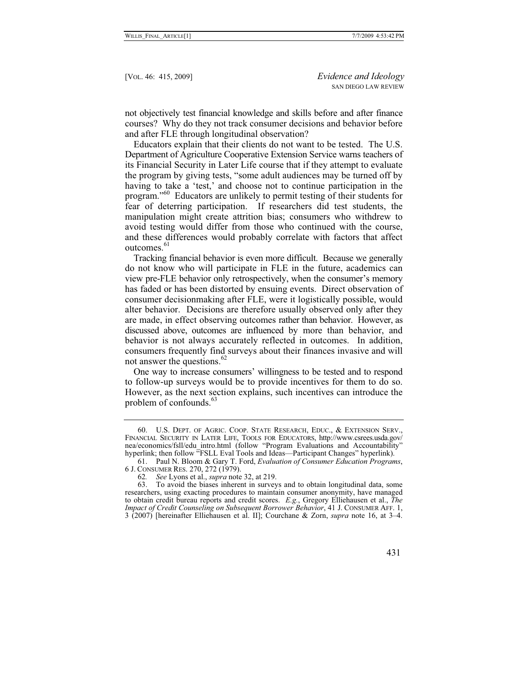not objectively test financial knowledge and skills before and after finance courses? Why do they not track consumer decisions and behavior before and after FLE through longitudinal observation?

Educators explain that their clients do not want to be tested. The U.S. Department of Agriculture Cooperative Extension Service warns teachers of its Financial Security in Later Life course that if they attempt to evaluate the program by giving tests, "some adult audiences may be turned off by having to take a 'test,' and choose not to continue participation in the program."60 Educators are unlikely to permit testing of their students for fear of deterring participation. If researchers did test students, the manipulation might create attrition bias; consumers who withdrew to avoid testing would differ from those who continued with the course, and these differences would probably correlate with factors that affect outcomes.<sup>61</sup>

Tracking financial behavior is even more difficult. Because we generally do not know who will participate in FLE in the future, academics can view pre-FLE behavior only retrospectively, when the consumer's memory has faded or has been distorted by ensuing events. Direct observation of consumer decisionmaking after FLE, were it logistically possible, would alter behavior. Decisions are therefore usually observed only after they are made, in effect observing outcomes rather than behavior. However, as discussed above, outcomes are influenced by more than behavior, and behavior is not always accurately reflected in outcomes. In addition, consumers frequently find surveys about their finances invasive and will not answer the questions.<sup>62</sup>

One way to increase consumers' willingness to be tested and to respond to follow-up surveys would be to provide incentives for them to do so. However, as the next section explains, such incentives can introduce the problem of confounds. $63$ 

 <sup>60.</sup> U.S. DEPT. OF AGRIC. COOP. STATE RESEARCH, EDUC., & EXTENSION SERV., FINANCIAL SECURITY IN LATER LIFE, TOOLS FOR EDUCATORS, http://www.csrees.usda.gov/ nea/economics/fsll/edu\_intro.html (follow "Program Evaluations and Accountability" hyperlink; then follow "FSLL Eval Tools and Ideas—Participant Changes" hyperlink).

 <sup>61.</sup> Paul N. Bloom & Gary T. Ford, *Evaluation of Consumer Education Programs*, 6 J. CONSUMER RES. 270, 272 (1979).

<sup>62</sup>*. See* Lyons et al., *supra* note 32, at 219.

To avoid the biases inherent in surveys and to obtain longitudinal data, some researchers, using exacting procedures to maintain consumer anonymity, have managed to obtain credit bureau reports and credit scores. *E.g.*, Gregory Elliehausen et al., *The Impact of Credit Counseling on Subsequent Borrower Behavior*, 41 J. CONSUMER AFF. 1, 3 (2007) [hereinafter Elliehausen et al. II]; Courchane & Zorn, *supra* note 16, at 3–4.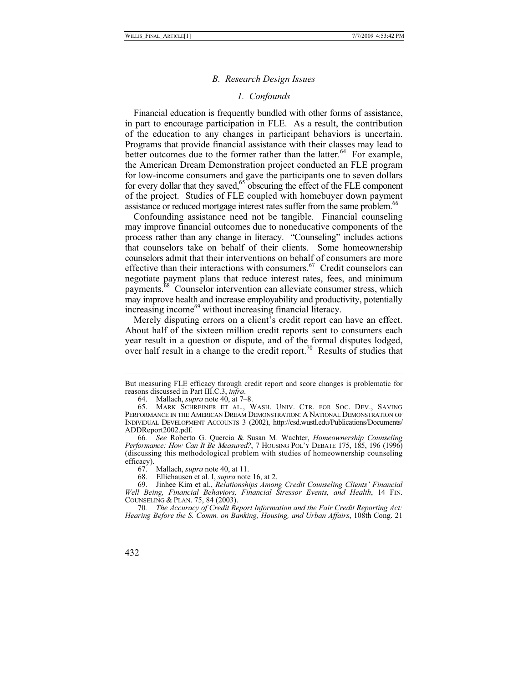#### *B. Research Design Issues*

# *1. Confounds*

Financial education is frequently bundled with other forms of assistance, in part to encourage participation in FLE. As a result, the contribution of the education to any changes in participant behaviors is uncertain. Programs that provide financial assistance with their classes may lead to better outcomes due to the former rather than the latter.<sup>64</sup> For example, the American Dream Demonstration project conducted an FLE program for low-income consumers and gave the participants one to seven dollars for every dollar that they saved,<sup>65</sup> obscuring the effect of the FLE component of the project. Studies of FLE coupled with homebuyer down payment assistance or reduced mortgage interest rates suffer from the same problem.<sup>66</sup>

Confounding assistance need not be tangible. Financial counseling may improve financial outcomes due to noneducative components of the process rather than any change in literacy. "Counseling" includes actions that counselors take on behalf of their clients. Some homeownership counselors admit that their interventions on behalf of consumers are more effective than their interactions with consumers.<sup>67</sup> Credit counselors can negotiate payment plans that reduce interest rates, fees, and minimum payments.<sup>68</sup> Counselor intervention can alleviate consumer stress, which may improve health and increase employability and productivity, potentially increasing income<sup>69</sup> without increasing financial literacy.

Merely disputing errors on a client's credit report can have an effect. About half of the sixteen million credit reports sent to consumers each year result in a question or dispute, and of the formal disputes lodged, over half result in a change to the credit report.<sup>70</sup> Results of studies that

68. Elliehausen et al. I, *supra* note 16, at 2.

<sup>70</sup>*. The Accuracy of Credit Report Information and the Fair Credit Reporting Act: Hearing Before the S. Comm. on Banking, Housing, and Urban Affairs*, 108th Cong. 21



But measuring FLE efficacy through credit report and score changes is problematic for reasons discussed in Part III.C.3, *infra*. 64. Mallach, *supra* note 40, at 7–8.

 <sup>65.</sup> MARK SCHREINER ET AL., WASH. UNIV. CTR. FOR SOC. DEV., SAVING PERFORMANCE IN THE AMERICAN DREAM DEMONSTRATION: A NATIONAL DEMONSTRATION OF INDIVIDUAL DEVELOPMENT ACCOUNTS 3 (2002), http://csd.wustl.edu/Publications/Documents/ ADDReport2002.pdf.

<sup>66</sup>*. See* Roberto G. Quercia & Susan M. Wachter, *Homeownership Counseling Performance: How Can It Be Measured?*, 7 HOUSING POL'Y DEBATE 175, 185, 196 (1996) (discussing this methodological problem with studies of homeownership counseling efficacy).<br> $67.$ 

Mallach, *supra* note 40, at 11.

 <sup>69.</sup> Jinhee Kim et al., *Relationships Among Credit Counseling Clients' Financial Well Being, Financial Behaviors, Financial Stressor Events, and Health*, 14 FIN. COUNSELING & PLAN. 75, 84 (2003).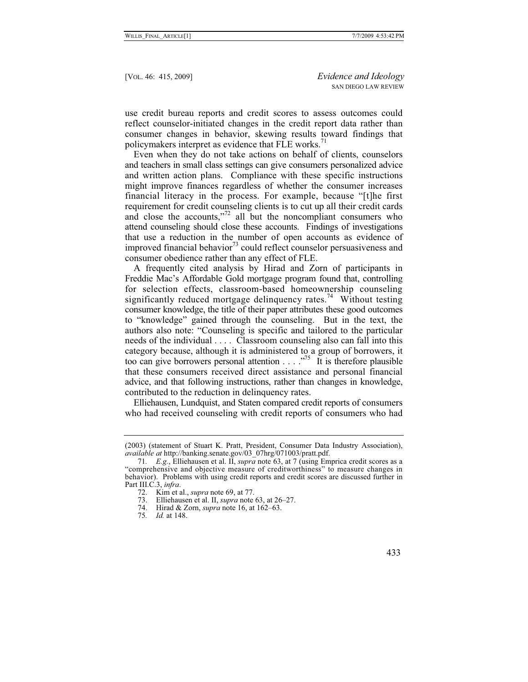use credit bureau reports and credit scores to assess outcomes could reflect counselor-initiated changes in the credit report data rather than consumer changes in behavior, skewing results toward findings that policymakers interpret as evidence that FLE works. $71$ 

Even when they do not take actions on behalf of clients, counselors and teachers in small class settings can give consumers personalized advice and written action plans. Compliance with these specific instructions might improve finances regardless of whether the consumer increases financial literacy in the process. For example, because "[t]he first requirement for credit counseling clients is to cut up all their credit cards and close the accounts, $^{772}$  all but the noncompliant consumers who attend counseling should close these accounts. Findings of investigations that use a reduction in the number of open accounts as evidence of improved financial behavior<sup>73</sup> could reflect counselor persuasiveness and consumer obedience rather than any effect of FLE.

A frequently cited analysis by Hirad and Zorn of participants in Freddie Mac's Affordable Gold mortgage program found that, controlling for selection effects, classroom-based homeownership counseling significantly reduced mortgage delinquency rates.<sup>74</sup> Without testing consumer knowledge, the title of their paper attributes these good outcomes to "knowledge" gained through the counseling. But in the text, the authors also note: "Counseling is specific and tailored to the particular needs of the individual . . . . Classroom counseling also can fall into this category because, although it is administered to a group of borrowers, it too can give borrowers personal attention  $\dots$  ."<sup>75</sup> It is therefore plausible that these consumers received direct assistance and personal financial advice, and that following instructions, rather than changes in knowledge, contributed to the reduction in delinquency rates.

Elliehausen, Lundquist, and Staten compared credit reports of consumers who had received counseling with credit reports of consumers who had

<sup>(2003) (</sup>statement of Stuart K. Pratt, President, Consumer Data Industry Association), *available at* http://banking.senate.gov/03\_07hrg/071003/pratt.pdf.

<sup>71</sup>*. E.g.*, Elliehausen et al. II, *supra* note 63, at 7 (using Emprica credit scores as a "comprehensive and objective measure of creditworthiness" to measure changes in behavior). Problems with using credit reports and credit scores are discussed further in Part III.C.3, *infra*.

<sup>72.</sup> Kim et al., *supra* note 69, at 77.

 <sup>73.</sup> Elliehausen et al. II, *supra* note 63, at 26–27.

 <sup>74.</sup> Hirad & Zorn, *supra* note 16, at 162–63.

<sup>75</sup>*. Id.* at 148.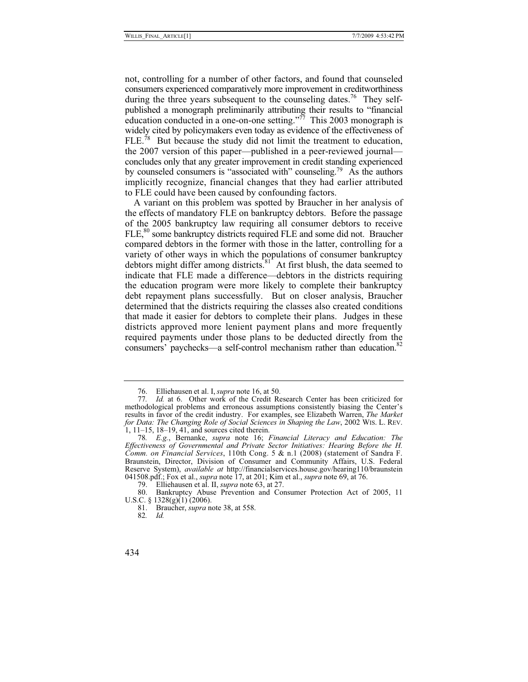not, controlling for a number of other factors, and found that counseled consumers experienced comparatively more improvement in creditworthiness during the three years subsequent to the counseling dates.<sup>76</sup> They selfpublished a monograph preliminarily attributing their results to "financial education conducted in a one-on-one setting."<sup>77</sup> This 2003 monograph is widely cited by policymakers even today as evidence of the effectiveness of FLE.78 But because the study did not limit the treatment to education, the 2007 version of this paper—published in a peer-reviewed journal concludes only that any greater improvement in credit standing experienced by counseled consumers is "associated with" counseling.79 As the authors implicitly recognize, financial changes that they had earlier attributed to FLE could have been caused by confounding factors.

A variant on this problem was spotted by Braucher in her analysis of the effects of mandatory FLE on bankruptcy debtors. Before the passage of the 2005 bankruptcy law requiring all consumer debtors to receive FLE,<sup>80</sup> some bankruptcy districts required FLE and some did not. Braucher compared debtors in the former with those in the latter, controlling for a variety of other ways in which the populations of consumer bankruptcy debtors might differ among districts. $81^{\circ}$  At first blush, the data seemed to indicate that FLE made a difference—debtors in the districts requiring the education program were more likely to complete their bankruptcy debt repayment plans successfully. But on closer analysis, Braucher determined that the districts requiring the classes also created conditions that made it easier for debtors to complete their plans. Judges in these districts approved more lenient payment plans and more frequently required payments under those plans to be deducted directly from the consumers' paychecks—a self-control mechanism rather than education.<sup>82</sup>

 <sup>76.</sup> Elliehausen et al. I, *supra* note 16, at 50.

<sup>77</sup>*. Id.* at 6. Other work of the Credit Research Center has been criticized for methodological problems and erroneous assumptions consistently biasing the Center's results in favor of the credit industry. For examples, see Elizabeth Warren, *The Market for Data: The Changing Role of Social Sciences in Shaping the Law*, 2002 WIS. L. REV. 1, 11–15, 18–19, 41, and sources cited therein.

<sup>78</sup>*. E.g.*, Bernanke, *supra* note 16; *Financial Literacy and Education: The Effectiveness of Governmental and Private Sector Initiatives: Hearing Before the H. Comm. on Financial Services*, 110th Cong. 5 & n.1 (2008) (statement of Sandra F. Braunstein, Director, Division of Consumer and Community Affairs, U.S. Federal Reserve System), *available at* http://financialservices.house.gov/hearing110/braunstein 041508.pdf.; Fox et al., *supra* note 17, at 201; Kim et al., *supra* note 69, at 76.

 <sup>79.</sup> Elliehausen et al. II, *supra* note 63, at 27.

 <sup>80.</sup> Bankruptcy Abuse Prevention and Consumer Protection Act of 2005, 11 U.S.C. §  $1328(g)(1)(2006)$ .

 <sup>81.</sup> Braucher, *supra* note 38, at 558.

<sup>82</sup>*. Id.*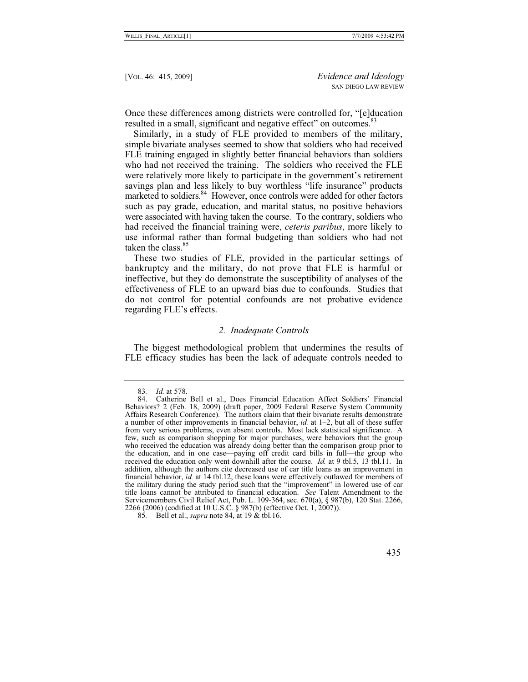Once these differences among districts were controlled for, "[e]ducation resulted in a small, significant and negative effect" on outcomes.<sup>83</sup>

Similarly, in a study of FLE provided to members of the military, simple bivariate analyses seemed to show that soldiers who had received FLE training engaged in slightly better financial behaviors than soldiers who had not received the training. The soldiers who received the FLE were relatively more likely to participate in the government's retirement savings plan and less likely to buy worthless "life insurance" products marketed to soldiers.<sup>84</sup> However, once controls were added for other factors such as pay grade, education, and marital status, no positive behaviors were associated with having taken the course. To the contrary, soldiers who had received the financial training were, *ceteris paribus*, more likely to use informal rather than formal budgeting than soldiers who had not taken the class.<sup>85</sup>

These two studies of FLE, provided in the particular settings of bankruptcy and the military, do not prove that FLE is harmful or ineffective, but they do demonstrate the susceptibility of analyses of the effectiveness of FLE to an upward bias due to confounds. Studies that do not control for potential confounds are not probative evidence regarding FLE's effects.

#### *2. Inadequate Controls*

The biggest methodological problem that undermines the results of FLE efficacy studies has been the lack of adequate controls needed to

<sup>83</sup>*. Id.* at 578.

 <sup>84.</sup> Catherine Bell et al., Does Financial Education Affect Soldiers' Financial Behaviors? 2 (Feb. 18, 2009) (draft paper, 2009 Federal Reserve System Community Affairs Research Conference). The authors claim that their bivariate results demonstrate a number of other improvements in financial behavior, *id.* at 1–2, but all of these suffer from very serious problems, even absent controls. Most lack statistical significance. A few, such as comparison shopping for major purchases, were behaviors that the group who received the education was already doing better than the comparison group prior to the education, and in one case—paying off credit card bills in full—the group who received the education only went downhill after the course. *Id.* at 9 tbl.5, 13 tbl.11. In addition, although the authors cite decreased use of car title loans as an improvement in financial behavior, *id.* at 14 tbl.12, these loans were effectively outlawed for members of the military during the study period such that the "improvement" in lowered use of car title loans cannot be attributed to financial education. *See* Talent Amendment to the Servicemembers Civil Relief Act, Pub. L. 109-364, sec. 670(a), § 987(b), 120 Stat. 2266, 2266 (2006) (codified at 10 U.S.C. § 987(b) (effective Oct. 1, 2007)).

<sup>85</sup>*.* Bell et al., *supra* note 84, at 19 & tbl.16.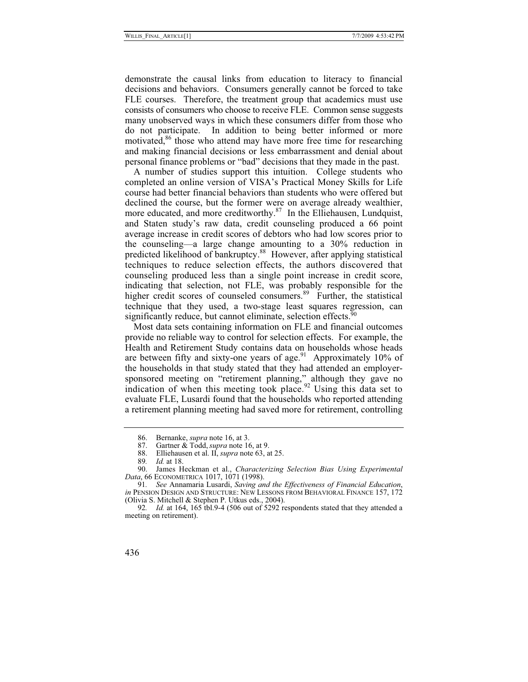demonstrate the causal links from education to literacy to financial decisions and behaviors. Consumers generally cannot be forced to take FLE courses. Therefore, the treatment group that academics must use consists of consumers who choose to receive FLE. Common sense suggests many unobserved ways in which these consumers differ from those who do not participate. In addition to being better informed or more motivated,<sup>86</sup> those who attend may have more free time for researching and making financial decisions or less embarrassment and denial about personal finance problems or "bad" decisions that they made in the past.

A number of studies support this intuition. College students who completed an online version of VISA's Practical Money Skills for Life course had better financial behaviors than students who were offered but declined the course, but the former were on average already wealthier, more educated, and more creditworthy.<sup>87</sup> In the Elliehausen, Lundquist, and Staten study's raw data, credit counseling produced a 66 point average increase in credit scores of debtors who had low scores prior to the counseling—a large change amounting to a 30% reduction in predicted likelihood of bankruptcy.<sup>88</sup> However, after applying statistical techniques to reduce selection effects, the authors discovered that counseling produced less than a single point increase in credit score, indicating that selection, not FLE, was probably responsible for the higher credit scores of counseled consumers.<sup>89</sup> Further, the statistical technique that they used, a two-stage least squares regression, can significantly reduce, but cannot eliminate, selection effects.<sup>90</sup>

Most data sets containing information on FLE and financial outcomes provide no reliable way to control for selection effects. For example, the Health and Retirement Study contains data on households whose heads are between fifty and sixty-one years of age.<sup>91</sup> Approximately 10% of the households in that study stated that they had attended an employersponsored meeting on "retirement planning," although they gave no indication of when this meeting took place.<sup>92</sup> Using this data set to evaluate FLE, Lusardi found that the households who reported attending a retirement planning meeting had saved more for retirement, controlling

<sup>86.</sup> Bernanke, *supra* note 16, at 3.<br>87. Gartner & Todd, *supra* note 16

Gartner & Todd, *supra* note 16, at 9.

 <sup>88.</sup> Elliehausen et al. II, *supra* note 63, at 25.

<sup>89</sup>*. Id.* at 18.

James Heckman et al., *Characterizing Selection Bias Using Experimental Data*, 66 ECONOMETRICA 1017, 1071 (1998).

<sup>91</sup>*. See* Annamaria Lusardi, *Saving and the Effectiveness of Financial Education*, *in* PENSION DESIGN AND STRUCTURE: NEW LESSONS FROM BEHAVIORAL FINANCE 157, 172 (Olivia S. Mitchell & Stephen P. Utkus eds., 2004).

<sup>92</sup>*. Id.* at 164, 165 tbl.9-4 (506 out of 5292 respondents stated that they attended a meeting on retirement).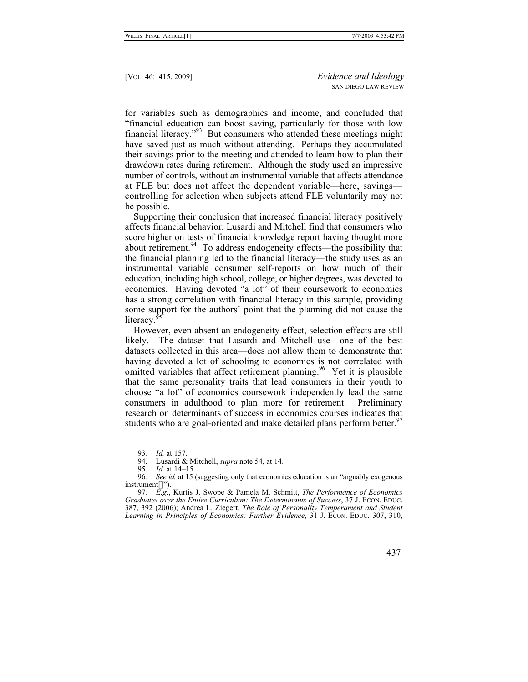for variables such as demographics and income, and concluded that "financial education can boost saving, particularly for those with low financial literacy."93 But consumers who attended these meetings might have saved just as much without attending. Perhaps they accumulated their savings prior to the meeting and attended to learn how to plan their drawdown rates during retirement. Although the study used an impressive number of controls, without an instrumental variable that affects attendance at FLE but does not affect the dependent variable—here, savings controlling for selection when subjects attend FLE voluntarily may not be possible.

Supporting their conclusion that increased financial literacy positively affects financial behavior, Lusardi and Mitchell find that consumers who score higher on tests of financial knowledge report having thought more about retirement. $94$  To address endogeneity effects—the possibility that the financial planning led to the financial literacy—the study uses as an instrumental variable consumer self-reports on how much of their education, including high school, college, or higher degrees, was devoted to economics. Having devoted "a lot" of their coursework to economics has a strong correlation with financial literacy in this sample, providing some support for the authors' point that the planning did not cause the literacy.<sup>9</sup>

However, even absent an endogeneity effect, selection effects are still likely. The dataset that Lusardi and Mitchell use—one of the best datasets collected in this area—does not allow them to demonstrate that having devoted a lot of schooling to economics is not correlated with omitted variables that affect retirement planning.<sup>96</sup> Yet it is plausible that the same personality traits that lead consumers in their youth to choose "a lot" of economics coursework independently lead the same consumers in adulthood to plan more for retirement. Preliminary research on determinants of success in economics courses indicates that students who are goal-oriented and make detailed plans perform better.<sup>97</sup>

<sup>97</sup>*. E.g.*, Kurtis J. Swope & Pamela M. Schmitt, *The Performance of Economics Graduates over the Entire Curriculum: The Determinants of Success*, 37 J. ECON. EDUC. 387, 392 (2006); Andrea L. Ziegert, *The Role of Personality Temperament and Student Learning in Principles of Economics: Further Evidence*, 31 J. ECON. EDUC. 307, 310,



<sup>93</sup>*. Id.* at 157.

 <sup>94.</sup> Lusardi & Mitchell, *supra* note 54, at 14.

*Id.* at 14–15.

<sup>96</sup>*. See id.* at 15 (suggesting only that economics education is an "arguably exogenous instrument[]").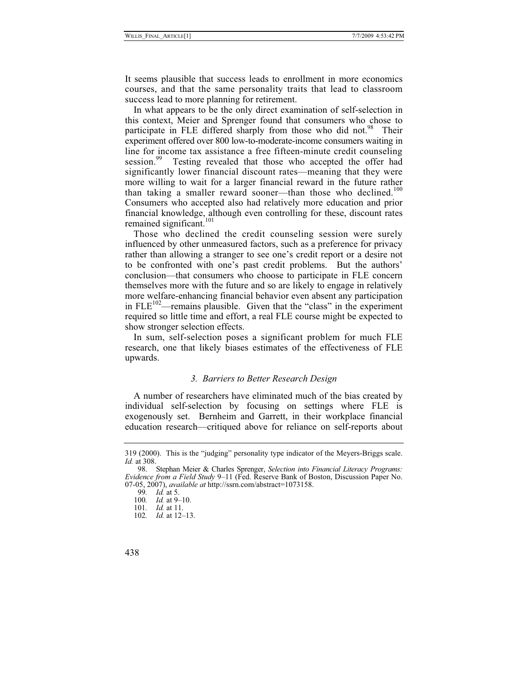It seems plausible that success leads to enrollment in more economics courses, and that the same personality traits that lead to classroom success lead to more planning for retirement.

In what appears to be the only direct examination of self-selection in this context, Meier and Sprenger found that consumers who chose to participate in FLE differed sharply from those who did not.<sup>98</sup> Their experiment offered over 800 low-to-moderate-income consumers waiting in line for income tax assistance a free fifteen-minute credit counseling session.<sup>99</sup> Testing revealed that those who accepted the offer had Testing revealed that those who accepted the offer had significantly lower financial discount rates—meaning that they were more willing to wait for a larger financial reward in the future rather than taking a smaller reward sooner—than those who declined.<sup>100</sup> Consumers who accepted also had relatively more education and prior financial knowledge, although even controlling for these, discount rates remained significant.<sup>101</sup>

Those who declined the credit counseling session were surely influenced by other unmeasured factors, such as a preference for privacy rather than allowing a stranger to see one's credit report or a desire not to be confronted with one's past credit problems. But the authors' conclusion—that consumers who choose to participate in FLE concern themselves more with the future and so are likely to engage in relatively more welfare-enhancing financial behavior even absent any participation in  $FLE<sup>102</sup>$ —remains plausible. Given that the "class" in the experiment required so little time and effort, a real FLE course might be expected to show stronger selection effects.

In sum, self-selection poses a significant problem for much FLE research, one that likely biases estimates of the effectiveness of FLE upwards.

# *3. Barriers to Better Research Design*

A number of researchers have eliminated much of the bias created by individual self-selection by focusing on settings where FLE is exogenously set. Bernheim and Garrett, in their workplace financial education research—critiqued above for reliance on self-reports about

<sup>319 (2000).</sup> This is the "judging" personality type indicator of the Meyers-Briggs scale. *Id.* at 308.

 <sup>98.</sup> Stephan Meier & Charles Sprenger, *Selection into Financial Literacy Programs: Evidence from a Field Study* 9–11 (Fed. Reserve Bank of Boston, Discussion Paper No. 07-05, 2007), *available at* http://ssrn.com/abstract=1073158.

<sup>99</sup>*. Id.* at 5.

<sup>100</sup>*. Id.* at 9–10.

<sup>101</sup>*. Id.* at 11.

<sup>102</sup>*. Id.* at 12–13.

<sup>438</sup>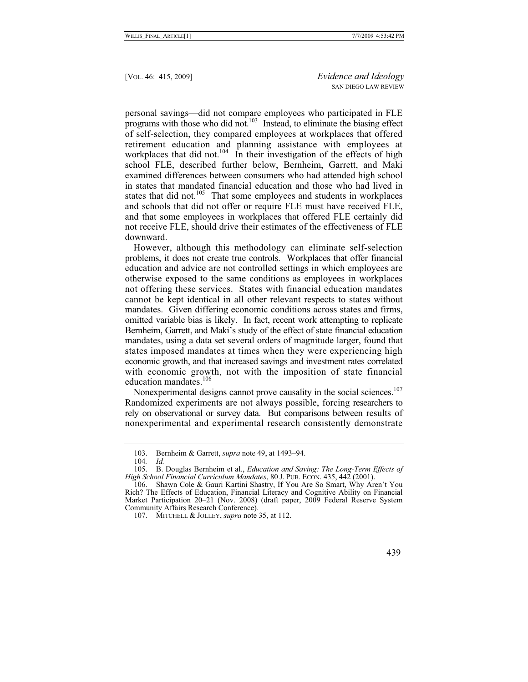personal savings—did not compare employees who participated in FLE programs with those who did not.<sup>103</sup> Instead, to eliminate the biasing effect of self-selection, they compared employees at workplaces that offered retirement education and planning assistance with employees at workplaces that did not.<sup>104</sup> In their investigation of the effects of high school FLE, described further below, Bernheim, Garrett, and Maki examined differences between consumers who had attended high school in states that mandated financial education and those who had lived in states that did not.<sup>105</sup> That some employees and students in workplaces and schools that did not offer or require FLE must have received FLE, and that some employees in workplaces that offered FLE certainly did not receive FLE, should drive their estimates of the effectiveness of FLE downward.

However, although this methodology can eliminate self-selection problems, it does not create true controls. Workplaces that offer financial education and advice are not controlled settings in which employees are otherwise exposed to the same conditions as employees in workplaces not offering these services. States with financial education mandates cannot be kept identical in all other relevant respects to states without mandates. Given differing economic conditions across states and firms, omitted variable bias is likely. In fact, recent work attempting to replicate Bernheim, Garrett, and Maki's study of the effect of state financial education mandates, using a data set several orders of magnitude larger, found that states imposed mandates at times when they were experiencing high economic growth, and that increased savings and investment rates correlated with economic growth, not with the imposition of state financial education mandates.<sup>106</sup>

Nonexperimental designs cannot prove causality in the social sciences.<sup>107</sup> Randomized experiments are not always possible, forcing researchers to rely on observational or survey data. But comparisons between results of nonexperimental and experimental research consistently demonstrate

 <sup>103.</sup> Bernheim & Garrett, *supra* note 49, at 1493–94.

<sup>104</sup>*. Id.*

 <sup>105.</sup> B. Douglas Bernheim et al., *Education and Saving: The Long-Term Effects of High School Financial Curriculum Mandates*, 80 J. PUB. ECON. 435, 442 (2001).

 <sup>106.</sup> Shawn Cole & Gauri Kartini Shastry, If You Are So Smart, Why Aren't You Rich? The Effects of Education, Financial Literacy and Cognitive Ability on Financial Market Participation 20–21 (Nov. 2008) (draft paper, 2009 Federal Reserve System Community Affairs Research Conference).

 <sup>107.</sup> MITCHELL & JOLLEY, *supra* note 35, at 112.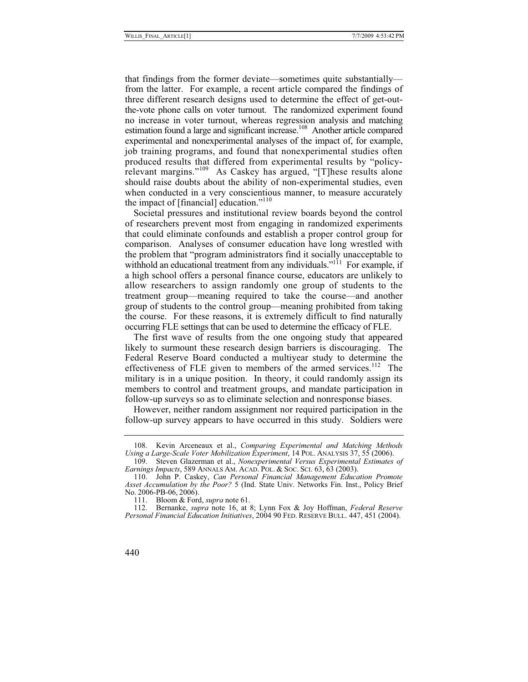that findings from the former deviate—sometimes quite substantially from the latter. For example, a recent article compared the findings of three different research designs used to determine the effect of get-outthe-vote phone calls on voter turnout. The randomized experiment found no increase in voter turnout, whereas regression analysis and matching estimation found a large and significant increase.<sup>108</sup> Another article compared experimental and nonexperimental analyses of the impact of, for example, job training programs, and found that nonexperimental studies often produced results that differed from experimental results by "policyrelevant margins."109 As Caskey has argued, "[T]hese results alone should raise doubts about the ability of non-experimental studies, even when conducted in a very conscientious manner, to measure accurately the impact of [financial] education." $110$ 

Societal pressures and institutional review boards beyond the control of researchers prevent most from engaging in randomized experiments that could eliminate confounds and establish a proper control group for comparison. Analyses of consumer education have long wrestled with the problem that "program administrators find it socially unacceptable to withhold an educational treatment from any individuals."<sup>111</sup> For example, if a high school offers a personal finance course, educators are unlikely to allow researchers to assign randomly one group of students to the treatment group—meaning required to take the course—and another group of students to the control group—meaning prohibited from taking the course. For these reasons, it is extremely difficult to find naturally occurring FLE settings that can be used to determine the efficacy of FLE.

The first wave of results from the one ongoing study that appeared likely to surmount these research design barriers is discouraging. The Federal Reserve Board conducted a multiyear study to determine the effectiveness of FLE given to members of the armed services.<sup>112</sup> The military is in a unique position. In theory, it could randomly assign its members to control and treatment groups, and mandate participation in follow-up surveys so as to eliminate selection and nonresponse biases.

However, neither random assignment nor required participation in the follow-up survey appears to have occurred in this study. Soldiers were

 <sup>108.</sup> Kevin Arceneaux et al., *Comparing Experimental and Matching Methods Using a Large-Scale Voter Mobilization Experiment*, 14 POL. ANALYSIS 37, 55 (2006).

 <sup>109.</sup> Steven Glazerman et al., *Nonexperimental Versus Experimental Estimates of Earnings Impacts*, 589 ANNALS AM. ACAD. POL. & SOC. SCI. 63, 63 (2003).

 <sup>110.</sup> John P. Caskey, *Can Personal Financial Management Education Promote Asset Accumulation by the Poor?* 5 (Ind. State Univ. Networks Fin. Inst., Policy Brief No. 2006-PB-06, 2006).

 <sup>111.</sup> Bloom & Ford, *supra* note 61.

 <sup>112.</sup> Bernanke, *supra* note 16, at 8; Lynn Fox & Joy Hoffman, *Federal Reserve Personal Financial Education Initiatives*, 2004 90 FED. RESERVE BULL. 447, 451 (2004).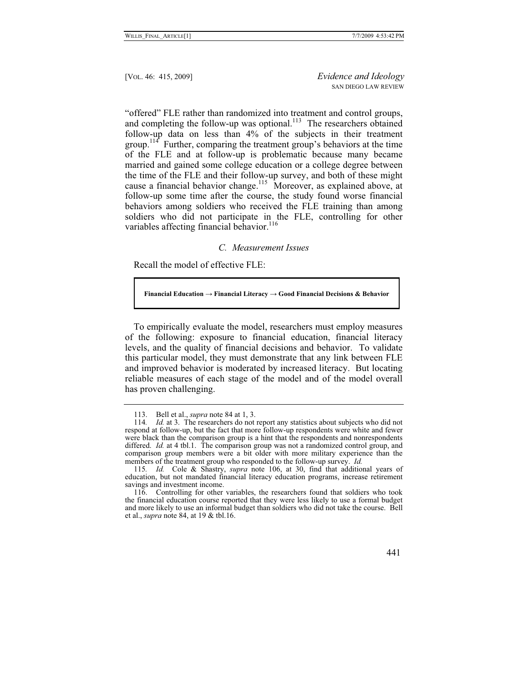"offered" FLE rather than randomized into treatment and control groups, and completing the follow-up was optional.<sup>113</sup> The researchers obtained follow-up data on less than 4% of the subjects in their treatment group.<sup>114</sup> Further, comparing the treatment group's behaviors at the time of the FLE and at follow-up is problematic because many became married and gained some college education or a college degree between the time of the FLE and their follow-up survey, and both of these might cause a financial behavior change.<sup>115</sup> Moreover, as explained above, at follow-up some time after the course, the study found worse financial behaviors among soldiers who received the FLE training than among soldiers who did not participate in the FLE, controlling for other variables affecting financial behavior.<sup>116</sup>

#### *C. Measurement Issues*

Recall the model of effective FLE:

Financial Education  $\rightarrow$  Financial Literacy  $\rightarrow$  Good Financial Decisions  $\&$  Behavior

To empirically evaluate the model, researchers must employ measures of the following: exposure to financial education, financial literacy levels, and the quality of financial decisions and behavior. To validate this particular model, they must demonstrate that any link between FLE and improved behavior is moderated by increased literacy. But locating reliable measures of each stage of the model and of the model overall has proven challenging.

 <sup>113.</sup> Bell et al., *supra* note 84 at 1, 3.

<sup>114</sup>*. Id.* at 3. The researchers do not report any statistics about subjects who did not respond at follow-up, but the fact that more follow-up respondents were white and fewer were black than the comparison group is a hint that the respondents and nonrespondents differed. *Id.* at 4 tbl.1. The comparison group was not a randomized control group, and comparison group members were a bit older with more military experience than the members of the treatment group who responded to the follow-up survey. *Id.*

<sup>115</sup>*. Id.* Cole & Shastry, *supra* note 106, at 30, find that additional years of education, but not mandated financial literacy education programs, increase retirement savings and investment income.

 <sup>116.</sup> Controlling for other variables, the researchers found that soldiers who took the financial education course reported that they were less likely to use a formal budget and more likely to use an informal budget than soldiers who did not take the course. Bell et al., *supra* note 84, at 19 & tbl.16.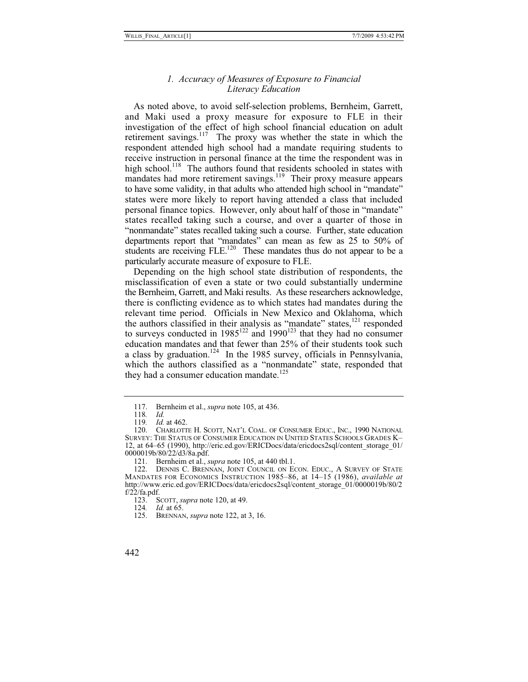# *1. Accuracy of Measures of Exposure to Financial Literacy Education*

As noted above, to avoid self-selection problems, Bernheim, Garrett, and Maki used a proxy measure for exposure to FLE in their investigation of the effect of high school financial education on adult retirement savings.<sup>117</sup> The proxy was whether the state in which the respondent attended high school had a mandate requiring students to receive instruction in personal finance at the time the respondent was in high school.<sup>118</sup> The authors found that residents schooled in states with mandates had more retirement savings.<sup>119</sup> Their proxy measure appears to have some validity, in that adults who attended high school in "mandate" states were more likely to report having attended a class that included personal finance topics. However, only about half of those in "mandate" states recalled taking such a course, and over a quarter of those in "nonmandate" states recalled taking such a course. Further, state education departments report that "mandates" can mean as few as 25 to 50% of students are receiving  $FLE<sup>120</sup>$  These mandates thus do not appear to be a particularly accurate measure of exposure to FLE.

Depending on the high school state distribution of respondents, the misclassification of even a state or two could substantially undermine the Bernheim, Garrett, and Maki results. As these researchers acknowledge, there is conflicting evidence as to which states had mandates during the relevant time period. Officials in New Mexico and Oklahoma, which the authors classified in their analysis as "mandate" states, $121$  responded to surveys conducted in  $1985^{122}$  and  $1990^{123}$  that they had no consumer education mandates and that fewer than 25% of their students took such a class by graduation.<sup>124</sup> In the 1985 survey, officials in Pennsylvania, which the authors classified as a "nonmandate" state, responded that they had a consumer education mandate.<sup>125</sup>

124*. Id.* at 65.

 <sup>117.</sup> Bernheim et al., *supra* note 105, at 436.

<sup>118</sup>*. Id.*

<sup>119</sup>*. Id.* at 462.

 <sup>120.</sup> CHARLOTTE H. SCOTT, NAT'L COAL. OF CONSUMER EDUC., INC., 1990 NATIONAL SURVEY: THE STATUS OF CONSUMER EDUCATION IN UNITED STATES SCHOOLS GRADES K– 12, at 64–65 (1990), http://eric.ed.gov/ERICDocs/data/ericdocs2sql/content\_storage\_01/ 0000019b/80/22/d3/8a.pdf.

 <sup>121.</sup> Bernheim et al., *supra* note 105, at 440 tbl.1.

 <sup>122.</sup> DENNIS C. BRENNAN, JOINT COUNCIL ON ECON. EDUC., A SURVEY OF STATE MANDATES FOR ECONOMICS INSTRUCTION 1985–86, at 14–15 (1986), *available at* http://www.eric.ed.gov/ERICDocs/data/ericdocs2sql/content\_storage\_01/0000019b/80/2  $f/22/fa.pdf.$ 

 <sup>123.</sup> SCOTT, *supra* note 120, at 49.

 <sup>125.</sup> BRENNAN, *supra* note 122, at 3, 16.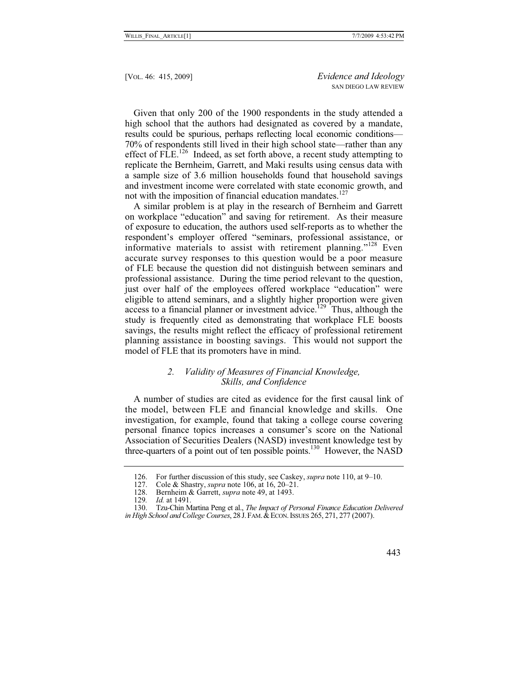Given that only 200 of the 1900 respondents in the study attended a high school that the authors had designated as covered by a mandate, results could be spurious, perhaps reflecting local economic conditions— 70% of respondents still lived in their high school state—rather than any effect of  $FLE<sup>126</sup>$  Indeed, as set forth above, a recent study attempting to replicate the Bernheim, Garrett, and Maki results using census data with a sample size of 3.6 million households found that household savings and investment income were correlated with state economic growth, and not with the imposition of financial education mandates. $127$ 

A similar problem is at play in the research of Bernheim and Garrett on workplace "education" and saving for retirement. As their measure of exposure to education, the authors used self-reports as to whether the respondent's employer offered "seminars, professional assistance, or informative materials to assist with retirement planning."<sup>128</sup> Even accurate survey responses to this question would be a poor measure of FLE because the question did not distinguish between seminars and professional assistance. During the time period relevant to the question, just over half of the employees offered workplace "education" were eligible to attend seminars, and a slightly higher proportion were given access to a financial planner or investment advice.<sup>129</sup> Thus, although the study is frequently cited as demonstrating that workplace FLE boosts savings, the results might reflect the efficacy of professional retirement planning assistance in boosting savings. This would not support the model of FLE that its promoters have in mind.

# *2. Validity of Measures of Financial Knowledge, Skills, and Confidence*

A number of studies are cited as evidence for the first causal link of the model, between FLE and financial knowledge and skills. One investigation, for example, found that taking a college course covering personal finance topics increases a consumer's score on the National Association of Securities Dealers (NASD) investment knowledge test by three-quarters of a point out of ten possible points.<sup>130</sup> However, the NASD

 <sup>130.</sup> Tzu-Chin Martina Peng et al., *The Impact of Personal Finance Education Delivered in High School and College Courses*, 28 J.FAM.&ECON.ISSUES 265, 271, 277 (2007).



<sup>126.</sup> For further discussion of this study, see Caskey, *supra* note 110, at 9–10.<br>127. Cole & Shastry, *supra* note 106, at 16, 20–21.

 <sup>127.</sup> Cole & Shastry, *supra* note 106, at 16, 20–21.

 <sup>128.</sup> Bernheim & Garrett, *supra* note 49, at 1493.

*Id.* at 1491.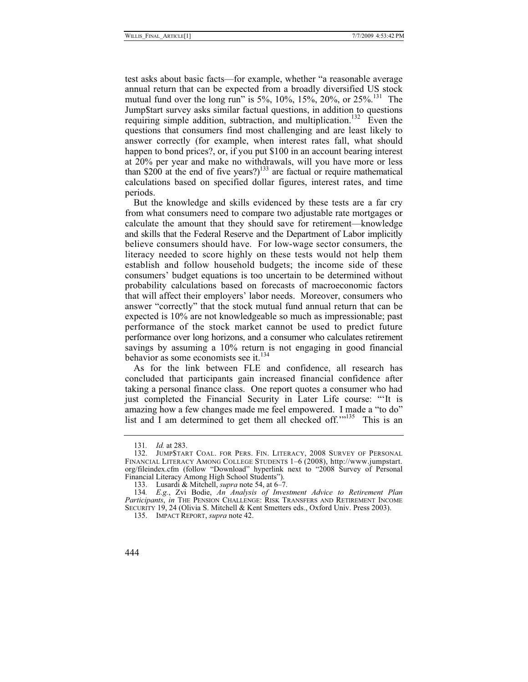test asks about basic facts—for example, whether "a reasonable average annual return that can be expected from a broadly diversified US stock mutual fund over the long run" is 5%,  $10\%$ ,  $15\%$ ,  $20\%$ , or  $25\%$ <sup>131</sup>. The Jump\$tart survey asks similar factual questions, in addition to questions requiring simple addition, subtraction, and multiplication.<sup>132</sup> Even the questions that consumers find most challenging and are least likely to answer correctly (for example, when interest rates fall, what should happen to bond prices?, or, if you put \$100 in an account bearing interest at 20% per year and make no withdrawals, will you have more or less than  $$200$  at the end of five years?)<sup>133</sup> are factual or require mathematical calculations based on specified dollar figures, interest rates, and time periods.

But the knowledge and skills evidenced by these tests are a far cry from what consumers need to compare two adjustable rate mortgages or calculate the amount that they should save for retirement—knowledge and skills that the Federal Reserve and the Department of Labor implicitly believe consumers should have. For low-wage sector consumers, the literacy needed to score highly on these tests would not help them establish and follow household budgets; the income side of these consumers' budget equations is too uncertain to be determined without probability calculations based on forecasts of macroeconomic factors that will affect their employers' labor needs. Moreover, consumers who answer "correctly" that the stock mutual fund annual return that can be expected is 10% are not knowledgeable so much as impressionable; past performance of the stock market cannot be used to predict future performance over long horizons, and a consumer who calculates retirement savings by assuming a 10% return is not engaging in good financial behavior as some economists see it.<sup>134</sup>

As for the link between FLE and confidence, all research has concluded that participants gain increased financial confidence after taking a personal finance class. One report quotes a consumer who had just completed the Financial Security in Later Life course: "It is amazing how a few changes made me feel empowered. I made a "to do" list and I am determined to get them all checked off."<sup>135</sup> This is an

<sup>131</sup>*. Id.* at 283.

 <sup>132.</sup> JUMP\$TART COAL. FOR PERS. FIN. LITERACY, 2008 SURVEY OF PERSONAL FINANCIAL LITERACY AMONG COLLEGE STUDENTS 1–6 (2008), http://www.jumpstart. org/fileindex.cfm (follow "Download" hyperlink next to "2008 Survey of Personal Financial Literacy Among High School Students").

 <sup>133.</sup> Lusardi & Mitchell, *supra* note 54, at 6–7.

<sup>134</sup>*. E.g.*, Zvi Bodie, *An Analysis of Investment Advice to Retirement Plan Participants*, *in* THE PENSION CHALLENGE: RISK TRANSFERS AND RETIREMENT INCOME SECURITY 19, 24 (Olivia S. Mitchell & Kent Smetters eds., Oxford Univ. Press 2003).

 <sup>135.</sup> IMPACT REPORT, *supra* note 42.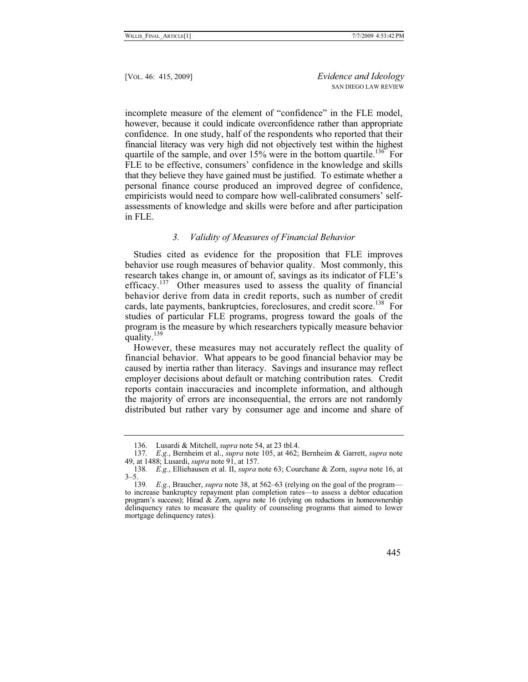incomplete measure of the element of "confidence" in the FLE model, however, because it could indicate overconfidence rather than appropriate confidence. In one study, half of the respondents who reported that their financial literacy was very high did not objectively test within the highest quartile of the sample, and over  $15\%$  were in the bottom quartile.<sup>136</sup> For FLE to be effective, consumers' confidence in the knowledge and skills that they believe they have gained must be justified. To estimate whether a personal finance course produced an improved degree of confidence, empiricists would need to compare how well-calibrated consumers' selfassessments of knowledge and skills were before and after participation in FLE.

#### *3. Validity of Measures of Financial Behavior*

Studies cited as evidence for the proposition that FLE improves behavior use rough measures of behavior quality. Most commonly, this research takes change in, or amount of, savings as its indicator of FLE's efficacy.<sup>137</sup> Other measures used to assess the quality of financial behavior derive from data in credit reports, such as number of credit cards, late payments, bankruptcies, foreclosures, and credit score.<sup>138</sup> For studies of particular FLE programs, progress toward the goals of the program is the measure by which researchers typically measure behavior quality. $139$ 

However, these measures may not accurately reflect the quality of financial behavior. What appears to be good financial behavior may be caused by inertia rather than literacy. Savings and insurance may reflect employer decisions about default or matching contribution rates. Credit reports contain inaccuracies and incomplete information, and although the majority of errors are inconsequential, the errors are not randomly distributed but rather vary by consumer age and income and share of

 <sup>136.</sup> Lusardi & Mitchell, *supra* note 54, at 23 tbl.4.

<sup>137</sup>*. E.g.*, Bernheim et al., *supra* note 105, at 462; Bernheim & Garrett, *supra* note 49, at 1488; Lusardi, *supra* note 91, at 157.

<sup>138</sup>*. E.g.*, Elliehausen et al. II, *supra* note 63; Courchane & Zorn, *supra* note 16, at  $3 - 5$ .

<sup>139</sup>*. E.g.*, Braucher, *supra* note 38, at 562–63 (relying on the goal of the program to increase bankruptcy repayment plan completion rates—to assess a debtor education program's success); Hirad & Zorn, *supra* note 16 (relying on reductions in homeownership delinquency rates to measure the quality of counseling programs that aimed to lower mortgage delinquency rates).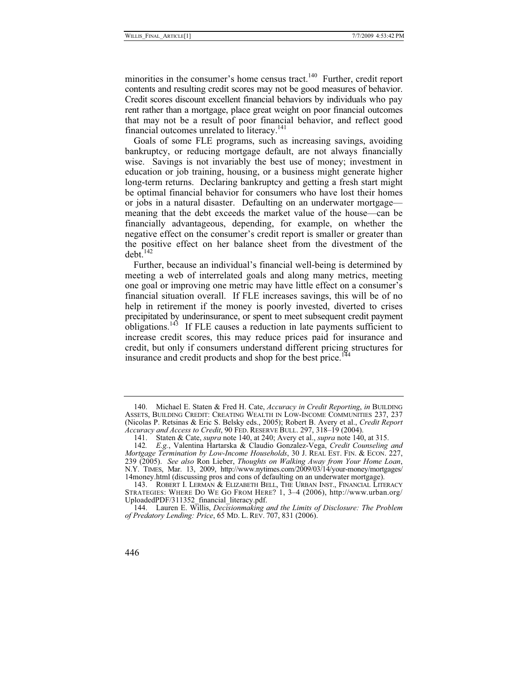minorities in the consumer's home census tract. $140$  Further, credit report contents and resulting credit scores may not be good measures of behavior. Credit scores discount excellent financial behaviors by individuals who pay rent rather than a mortgage, place great weight on poor financial outcomes that may not be a result of poor financial behavior, and reflect good financial outcomes unrelated to literacy.<sup>141</sup>

Goals of some FLE programs, such as increasing savings, avoiding bankruptcy, or reducing mortgage default, are not always financially wise. Savings is not invariably the best use of money; investment in education or job training, housing, or a business might generate higher long-term returns. Declaring bankruptcy and getting a fresh start might be optimal financial behavior for consumers who have lost their homes or jobs in a natural disaster. Defaulting on an underwater mortgage meaning that the debt exceeds the market value of the house—can be financially advantageous, depending, for example, on whether the negative effect on the consumer's credit report is smaller or greater than the positive effect on her balance sheet from the divestment of the  $debt.<sup>142</sup>$ 

Further, because an individual's financial well-being is determined by meeting a web of interrelated goals and along many metrics, meeting one goal or improving one metric may have little effect on a consumer's financial situation overall. If FLE increases savings, this will be of no help in retirement if the money is poorly invested, diverted to crises precipitated by underinsurance, or spent to meet subsequent credit payment obligations.<sup>143</sup> If FLE causes a reduction in late payments sufficient to increase credit scores, this may reduce prices paid for insurance and credit, but only if consumers understand different pricing structures for insurance and credit products and shop for the best price.<sup>14</sup>

 <sup>140.</sup> Michael E. Staten & Fred H. Cate, *Accuracy in Credit Reporting*, *in* BUILDING ASSETS, BUILDING CREDIT: CREATING WEALTH IN LOW-INCOME COMMUNITIES 237, 237 (Nicolas P. Retsinas & Eric S. Belsky eds., 2005); Robert B. Avery et al., *Credit Report Accuracy and Access to Credit*, 90 FED. RESERVE BULL. 297, 318–19 (2004).

 <sup>141.</sup> Staten & Cate, *supra* note 140, at 240; Avery et al., *supra* note 140, at 315.

<sup>142</sup>*. E.g.*, Valentina Hartarska & Claudio Gonzalez-Vega, *Credit Counseling and Mortgage Termination by Low-Income Households*, 30 J. REAL EST. FIN. & ECON. 227, 239 (2005). See also Ron Lieber, *Thoughts on Walking Away from Your Home Loan*, 239 (2005). *See also* Ron Lieber, *Thoughts on Walking Away from Your Home Loan*, N.Y. TIMES, Mar. 13, 2009, http://www.nytimes.com/2009/03/14/your-money/mortgages/ 14money.html (discussing pros and cons of defaulting on an underwater mortgage).

 <sup>143.</sup> ROBERT I. LERMAN & ELIZABETH BELL, THE URBAN INST., FINANCIAL LITERACY STRATEGIES: WHERE DO WE GO FROM HERE? 1, 3–4 (2006), http://www.urban.org/ UploadedPDF/311352\_financial\_literacy.pdf.

 <sup>144.</sup> Lauren E. Willis, *Decisionmaking and the Limits of Disclosure: The Problem of Predatory Lending: Price*, 65 MD. L. REV. 707, 831 (2006).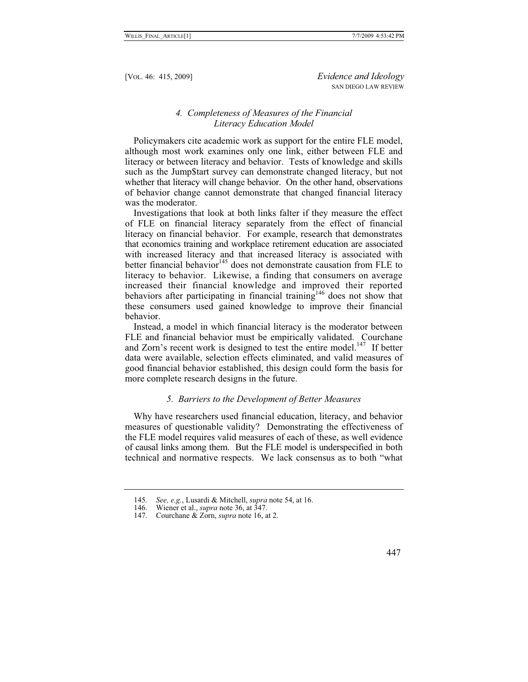# *4. Completeness of Measures of the Financial Literacy Education Model*

Policymakers cite academic work as support for the entire FLE model, although most work examines only one link, either between FLE and literacy or between literacy and behavior. Tests of knowledge and skills such as the Jump\$tart survey can demonstrate changed literacy, but not whether that literacy will change behavior. On the other hand, observations of behavior change cannot demonstrate that changed financial literacy was the moderator.

Investigations that look at both links falter if they measure the effect of FLE on financial literacy separately from the effect of financial literacy on financial behavior. For example, research that demonstrates that economics training and workplace retirement education are associated with increased literacy and that increased literacy is associated with better financial behavior<sup>145</sup> does not demonstrate causation from FLE to literacy to behavior. Likewise, a finding that consumers on average increased their financial knowledge and improved their reported behaviors after participating in financial training<sup>146</sup> does not show that these consumers used gained knowledge to improve their financial behavior.

Instead, a model in which financial literacy is the moderator between FLE and financial behavior must be empirically validated. Courchane and Zorn's recent work is designed to test the entire model.<sup>147</sup> If better data were available, selection effects eliminated, and valid measures of good financial behavior established, this design could form the basis for more complete research designs in the future.

#### *5. Barriers to the Development of Better Measures*

Why have researchers used financial education, literacy, and behavior measures of questionable validity? Demonstrating the effectiveness of the FLE model requires valid measures of each of these, as well evidence of causal links among them. But the FLE model is underspecified in both technical and normative respects. We lack consensus as to both "what

<sup>145</sup>*. See, e.g.*, Lusardi & Mitchell, *supra* note 54, at 16.

 <sup>146.</sup> Wiener et al., *supra* note 36, at 347.

 <sup>147.</sup> Courchane & Zorn, *supra* note 16, at 2.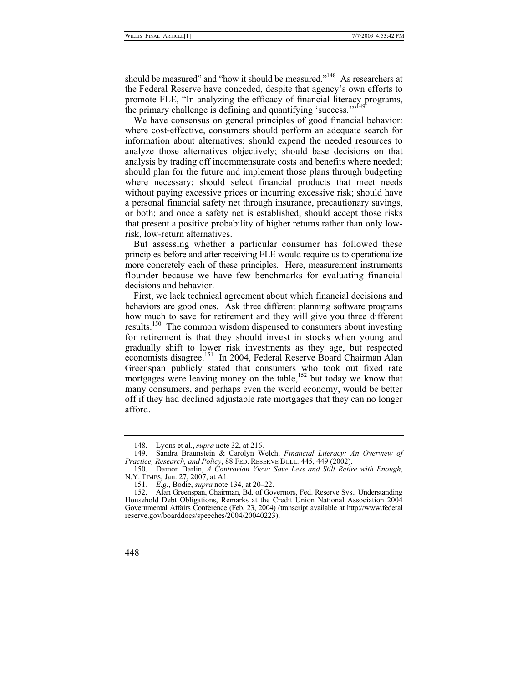should be measured" and "how it should be measured."<sup>148</sup> As researchers at the Federal Reserve have conceded, despite that agency's own efforts to promote FLE, "In analyzing the efficacy of financial literacy programs, the primary challenge is defining and quantifying 'success."<sup>149</sup>

We have consensus on general principles of good financial behavior: where cost-effective, consumers should perform an adequate search for information about alternatives; should expend the needed resources to analyze those alternatives objectively; should base decisions on that analysis by trading off incommensurate costs and benefits where needed; should plan for the future and implement those plans through budgeting where necessary; should select financial products that meet needs without paying excessive prices or incurring excessive risk; should have a personal financial safety net through insurance, precautionary savings, or both; and once a safety net is established, should accept those risks that present a positive probability of higher returns rather than only lowrisk, low-return alternatives.

But assessing whether a particular consumer has followed these principles before and after receiving FLE would require us to operationalize more concretely each of these principles. Here, measurement instruments flounder because we have few benchmarks for evaluating financial decisions and behavior.

First, we lack technical agreement about which financial decisions and behaviors are good ones. Ask three different planning software programs how much to save for retirement and they will give you three different results.<sup>150</sup> The common wisdom dispensed to consumers about investing for retirement is that they should invest in stocks when young and gradually shift to lower risk investments as they age, but respected economists disagree.<sup>151</sup> In 2004, Federal Reserve Board Chairman Alan Greenspan publicly stated that consumers who took out fixed rate mortgages were leaving money on the table,  $152$  but today we know that many consumers, and perhaps even the world economy, would be better off if they had declined adjustable rate mortgages that they can no longer afford.

 <sup>148.</sup> Lyons et al., *supra* note 32, at 216.

 <sup>149.</sup> Sandra Braunstein & Carolyn Welch, *Financial Literacy: An Overview of*  Practice, Research, and Policy, 88 FED. RESERVE BULL. 445, 449 (2002).

 <sup>150.</sup> Damon Darlin, *A Contrarian View: Save Less and Still Retire with Enough*, N.Y. TIMES, Jan. 27, 2007, at A1.

<sup>151</sup>*. E.g.*, Bodie, *supra* note 134, at 20–22.

 <sup>152.</sup> Alan Greenspan, Chairman, Bd. of Governors, Fed. Reserve Sys., Understanding Household Debt Obligations, Remarks at the Credit Union National Association 2004 Governmental Affairs Conference (Feb. 23, 2004) (transcript available at http://www.federal reserve.gov/boarddocs/speeches/2004/20040223).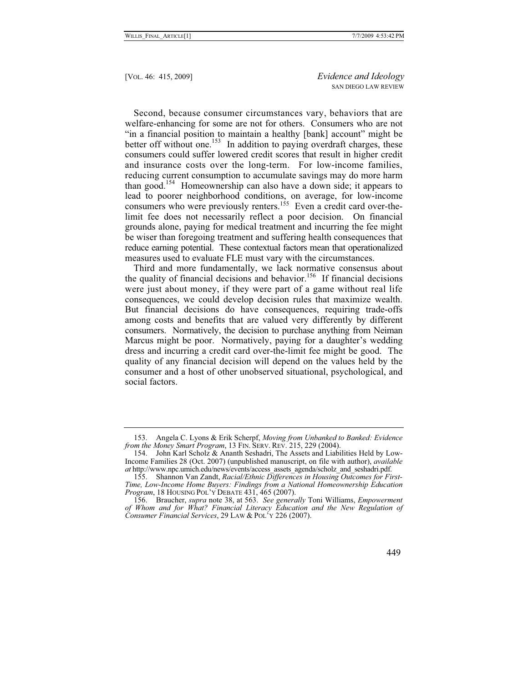Second, because consumer circumstances vary, behaviors that are welfare-enhancing for some are not for others. Consumers who are not "in a financial position to maintain a healthy [bank] account" might be better off without one.<sup>153</sup> In addition to paying overdraft charges, these consumers could suffer lowered credit scores that result in higher credit and insurance costs over the long-term. For low-income families, reducing current consumption to accumulate savings may do more harm than good.154 Homeownership can also have a down side; it appears to lead to poorer neighborhood conditions, on average, for low-income consumers who were previously renters.<sup>155</sup> Even a credit card over-thelimit fee does not necessarily reflect a poor decision. On financial grounds alone, paying for medical treatment and incurring the fee might be wiser than foregoing treatment and suffering health consequences that reduce earning potential. These contextual factors mean that operationalized measures used to evaluate FLE must vary with the circumstances.

Third and more fundamentally, we lack normative consensus about the quality of financial decisions and behavior.<sup>156</sup> If financial decisions were just about money, if they were part of a game without real life consequences, we could develop decision rules that maximize wealth. But financial decisions do have consequences, requiring trade-offs among costs and benefits that are valued very differently by different consumers. Normatively, the decision to purchase anything from Neiman Marcus might be poor. Normatively, paying for a daughter's wedding dress and incurring a credit card over-the-limit fee might be good. The quality of any financial decision will depend on the values held by the consumer and a host of other unobserved situational, psychological, and social factors.

 <sup>153.</sup> Angela C. Lyons & Erik Scherpf, *Moving from Unbanked to Banked: Evidence from the Money Smart Program*, 13 FIN. SERV. REV. 215, 229 (2004).

 <sup>154.</sup> John Karl Scholz & Ananth Seshadri, The Assets and Liabilities Held by Low-Income Families 28 (Oct. 2007) (unpublished manuscript, on file with author), *available at* http://www.npc.umich.edu/news/events/access\_assets\_agenda/scholz\_and\_seshadri.pdf.

 <sup>155.</sup> Shannon Van Zandt, *Racial/Ethnic Differences in Housing Outcomes for First-Time, Low-Income Home Buyers: Findings from a National Homeownership Education Program*, 18 HOUSING POL'Y DEBATE 431, 465 (2007).

 <sup>156.</sup> Braucher, *supra* note 38, at 563. *See generally* Toni Williams, *Empowerment of Whom and for What? Financial Literacy Education and the New Regulation of Consumer Financial Services*, 29 LAW & POL'Y 226 (2007).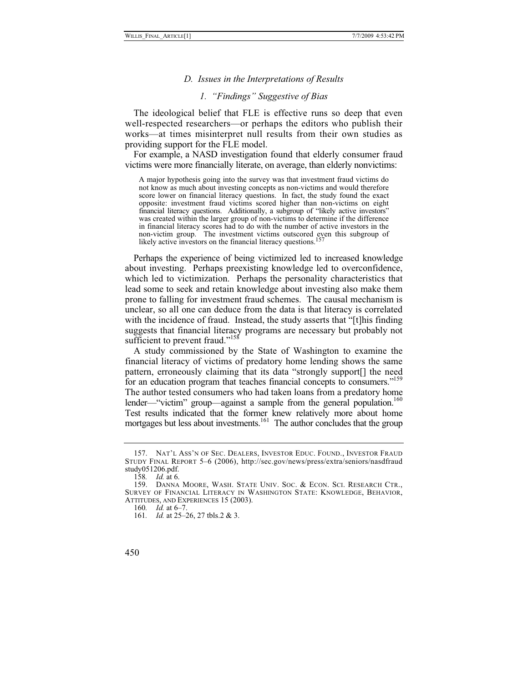#### *D. Issues in the Interpretations of Results*

# *1. "Findings" Suggestive of Bias*

The ideological belief that FLE is effective runs so deep that even well-respected researchers—or perhaps the editors who publish their works—at times misinterpret null results from their own studies as providing support for the FLE model.

For example, a NASD investigation found that elderly consumer fraud victims were more financially literate, on average, than elderly nonvictims:

A major hypothesis going into the survey was that investment fraud victims do not know as much about investing concepts as non-victims and would therefore score lower on financial literacy questions. In fact, the study found the exact opposite: investment fraud victims scored higher than non-victims on eight financial literacy questions. Additionally, a subgroup of "likely active investors" was created within the larger group of non-victims to determine if the difference in financial literacy scores had to do with the number of active investors in the non-victim group. The investment victims outscored even this subgroup of likely active investors on the financial literacy questions.<sup>157</sup>

Perhaps the experience of being victimized led to increased knowledge about investing. Perhaps preexisting knowledge led to overconfidence, which led to victimization. Perhaps the personality characteristics that lead some to seek and retain knowledge about investing also make them prone to falling for investment fraud schemes. The causal mechanism is unclear, so all one can deduce from the data is that literacy is correlated with the incidence of fraud. Instead, the study asserts that "[t]his finding suggests that financial literacy programs are necessary but probably not sufficient to prevent fraud."<sup>158</sup>

A study commissioned by the State of Washington to examine the financial literacy of victims of predatory home lending shows the same pattern, erroneously claiming that its data "strongly support[] the need for an education program that teaches financial concepts to consumers."<sup>159</sup> The author tested consumers who had taken loans from a predatory home lender—"victim" group—against a sample from the general population.<sup>160</sup> Test results indicated that the former knew relatively more about home mortgages but less about investments.<sup>161</sup> The author concludes that the group

 <sup>157.</sup> NAT'L ASS'N OF SEC. DEALERS, INVESTOR EDUC. FOUND., INVESTOR FRAUD STUDY FINAL REPORT 5–6 (2006), http://sec.gov/news/press/extra/seniors/nasdfraud study051206.pdf.

<sup>158</sup>*. Id.* at 6.

 <sup>159.</sup> DANNA MOORE, WASH. STATE UNIV. SOC. & ECON. SCI. RESEARCH CTR., SURVEY OF FINANCIAL LITERACY IN WASHINGTON STATE: KNOWLEDGE, BEHAVIOR, ATTITUDES, AND EXPERIENCES 15 (2003).

<sup>160</sup>*. Id.* at 6–7.

<sup>161</sup>*. Id.* at 25–26, 27 tbls.2 & 3.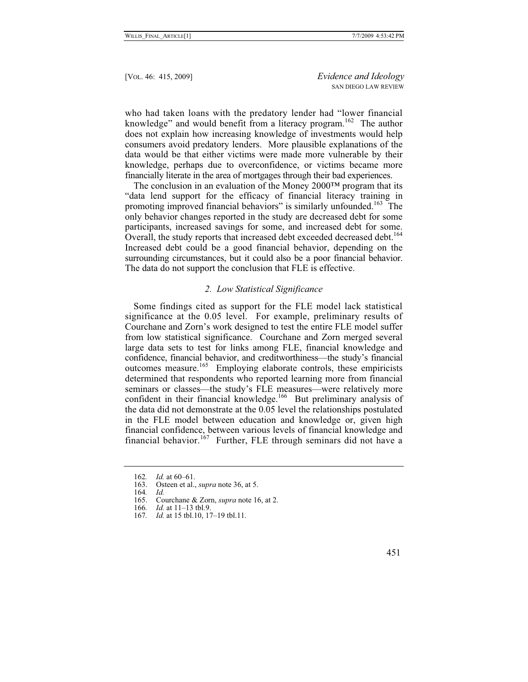who had taken loans with the predatory lender had "lower financial knowledge" and would benefit from a literacy program.<sup>162</sup> The author does not explain how increasing knowledge of investments would help consumers avoid predatory lenders. More plausible explanations of the data would be that either victims were made more vulnerable by their knowledge, perhaps due to overconfidence, or victims became more financially literate in the area of mortgages through their bad experiences.

The conclusion in an evaluation of the Money 2000™ program that its "data lend support for the efficacy of financial literacy training in promoting improved financial behaviors" is similarly unfounded.<sup>163</sup> The only behavior changes reported in the study are decreased debt for some participants, increased savings for some, and increased debt for some. Overall, the study reports that increased debt exceeded decreased debt.<sup>164</sup> Increased debt could be a good financial behavior, depending on the surrounding circumstances, but it could also be a poor financial behavior. The data do not support the conclusion that FLE is effective.

#### *2. Low Statistical Significance*

Some findings cited as support for the FLE model lack statistical significance at the 0.05 level. For example, preliminary results of Courchane and Zorn's work designed to test the entire FLE model suffer from low statistical significance. Courchane and Zorn merged several large data sets to test for links among FLE, financial knowledge and confidence, financial behavior, and creditworthiness—the study's financial outcomes measure.<sup>165</sup> Employing elaborate controls, these empiricists determined that respondents who reported learning more from financial seminars or classes—the study's FLE measures—were relatively more confident in their financial knowledge.<sup>166</sup> But preliminary analysis of the data did not demonstrate at the 0.05 level the relationships postulated in the FLE model between education and knowledge or, given high financial confidence, between various levels of financial knowledge and financial behavior.167 Further, FLE through seminars did not have a

<sup>162.</sup> *Id.* at 60–61.<br>163. Osteen et al..

Osteen et al., *supra* note 36, at 5.

<sup>164</sup>*. Id.*

 <sup>165.</sup> Courchane & Zorn, *supra* note 16, at 2.

<sup>166</sup>*. Id.* at 11–13 tbl.9.

<sup>167</sup>*. Id.* at 15 tbl.10, 17–19 tbl.11.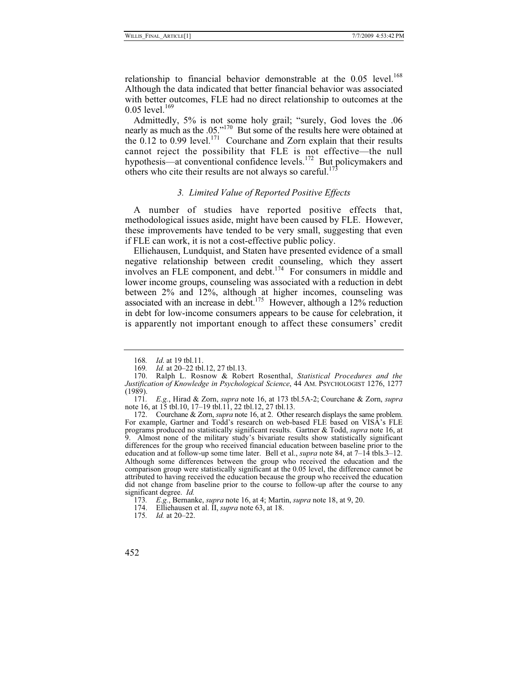relationship to financial behavior demonstrable at the  $0.05$  level.<sup>168</sup> Although the data indicated that better financial behavior was associated with better outcomes, FLE had no direct relationship to outcomes at the  $0.05$  level.<sup>169</sup>

Admittedly, 5% is not some holy grail; "surely, God loves the .06 nearly as much as the .05."<sup>170</sup> But some of the results here were obtained at the 0.12 to 0.99 level.<sup>171</sup> Courchane and Zorn explain that their results cannot reject the possibility that FLE is not effective—the null hypothesis—at conventional confidence levels.<sup>172</sup> But policymakers and others who cite their results are not always so careful.<sup>173</sup>

# *3. Limited Value of Reported Positive Effects*

A number of studies have reported positive effects that, methodological issues aside, might have been caused by FLE. However, these improvements have tended to be very small, suggesting that even if FLE can work, it is not a cost-effective public policy.

Elliehausen, Lundquist, and Staten have presented evidence of a small negative relationship between credit counseling, which they assert involves an FLE component, and debt. $174$  For consumers in middle and lower income groups, counseling was associated with a reduction in debt between 2% and 12%, although at higher incomes, counseling was associated with an increase in debt.<sup>175</sup> However, although a 12% reduction in debt for low-income consumers appears to be cause for celebration, it is apparently not important enough to affect these consumers' credit

<sup>168</sup>*. Id*. at 19 tbl.11.

Id. at 20–22 tbl.12, 27 tbl.13.

 <sup>170.</sup> Ralph L. Rosnow & Robert Rosenthal, *Statistical Procedures and the Justification of Knowledge in Psychological Science*, 44 AM. PSYCHOLOGIST 1276, 1277 (1989).

<sup>171</sup>*. E.g.*, Hirad & Zorn, *supra* note 16, at 173 tbl.5A-2; Courchane & Zorn, *supra* note 16, at 15 tbl.10, 17–19 tbl.11, 22 tbl.12, 27 tbl.13.

 <sup>172.</sup> Courchane & Zorn, *supra* note 16, at 2. Other research displays the same problem. For example, Gartner and Todd's research on web-based FLE based on VISA's FLE programs produced no statistically significant results. Gartner & Todd, *supra* note 16, at 9. Almost none of the military study's bivariate results show statistically significant differences for the group who received financial education between baseline prior to the education and at follow-up some time later. Bell et al., *supra* note 84, at 7–14 tbls.3–12. Although some differences between the group who received the education and the comparison group were statistically significant at the 0.05 level, the difference cannot be attributed to having received the education because the group who received the education did not change from baseline prior to the course to follow-up after the course to any significant degree. *Id.*

<sup>173</sup>*. E.g.*, Bernanke, *supra* note 16, at 4; Martin, *supra* note 18, at 9, 20.

 <sup>174.</sup> Elliehausen et al. II, *supra* note 63, at 18.

<sup>175</sup>*. Id.* at 20–22.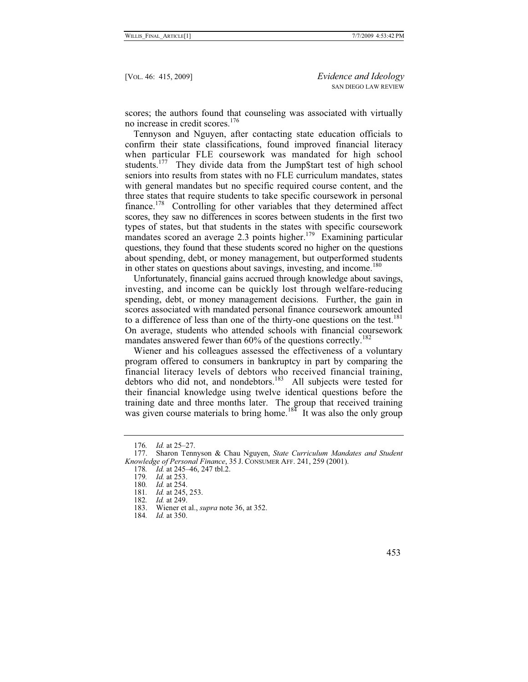scores; the authors found that counseling was associated with virtually no increase in credit scores.<sup>176</sup>

Tennyson and Nguyen, after contacting state education officials to confirm their state classifications, found improved financial literacy when particular FLE coursework was mandated for high school students.<sup>177</sup> They divide data from the Jump\$tart test of high school seniors into results from states with no FLE curriculum mandates, states with general mandates but no specific required course content, and the three states that require students to take specific coursework in personal finance.<sup>178</sup> Controlling for other variables that they determined affect scores, they saw no differences in scores between students in the first two types of states, but that students in the states with specific coursework mandates scored an average 2.3 points higher.<sup>179</sup> Examining particular questions, they found that these students scored no higher on the questions about spending, debt, or money management, but outperformed students in other states on questions about savings, investing, and income.<sup>180</sup>

Unfortunately, financial gains accrued through knowledge about savings, investing, and income can be quickly lost through welfare-reducing spending, debt, or money management decisions. Further, the gain in scores associated with mandated personal finance coursework amounted to a difference of less than one of the thirty-one questions on the test.<sup>181</sup> On average, students who attended schools with financial coursework mandates answered fewer than 60% of the questions correctly.<sup>182</sup>

Wiener and his colleagues assessed the effectiveness of a voluntary program offered to consumers in bankruptcy in part by comparing the financial literacy levels of debtors who received financial training, debtors who did not, and nondebtors.<sup>183</sup> All subjects were tested for their financial knowledge using twelve identical questions before the training date and three months later. The group that received training was given course materials to bring home.<sup>184</sup> It was also the only group

<sup>176</sup>*. Id.* at 25–27.

 <sup>177.</sup> Sharon Tennyson & Chau Nguyen, *State Curriculum Mandates and Student Knowledge of Personal Finance*, 35 J. CONSUMER AFF. 241, 259 (2001).

Id. at 245–46, 247 tbl.2.

<sup>179</sup>*. Id.* at 253.

<sup>180</sup>*. Id.* at 254.

<sup>181</sup>*. Id.* at 245, 253.

<sup>182</sup>*. Id.* at 249.

 <sup>183.</sup> Wiener et al., *supra* note 36, at 352.

<sup>184</sup>*. Id.* at 350.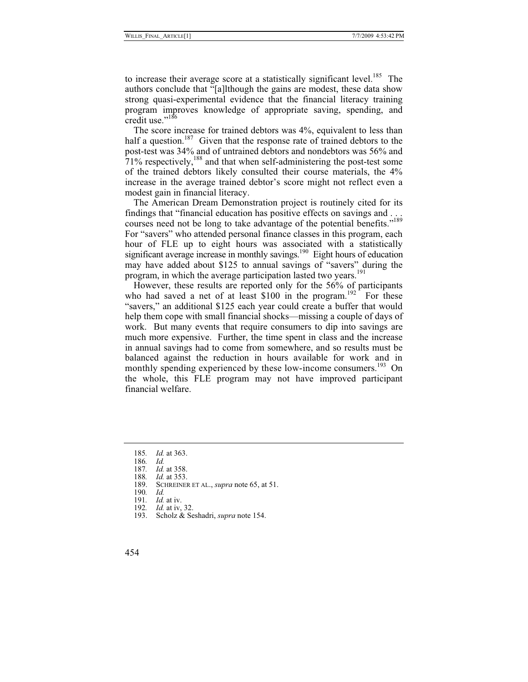to increase their average score at a statistically significant level.<sup>185</sup> The authors conclude that "[a]lthough the gains are modest, these data show strong quasi-experimental evidence that the financial literacy training program improves knowledge of appropriate saving, spending, and credit use." $186$ 

The score increase for trained debtors was 4%, equivalent to less than half a question.<sup>187</sup> Given that the response rate of trained debtors to the post-test was 34% and of untrained debtors and nondebtors was 56% and  $71\%$  respectively,<sup>188</sup> and that when self-administering the post-test some of the trained debtors likely consulted their course materials, the 4% increase in the average trained debtor's score might not reflect even a modest gain in financial literacy.

The American Dream Demonstration project is routinely cited for its findings that "financial education has positive effects on savings and . . . courses need not be long to take advantage of the potential benefits."<sup>189</sup> For "savers" who attended personal finance classes in this program, each hour of FLE up to eight hours was associated with a statistically significant average increase in monthly savings.<sup>190</sup> Eight hours of education may have added about \$125 to annual savings of "savers" during the program, in which the average participation lasted two vears.<sup>191</sup>

However, these results are reported only for the 56% of participants who had saved a net of at least \$100 in the program.<sup>192</sup> For these "savers," an additional \$125 each year could create a buffer that would help them cope with small financial shocks—missing a couple of days of work. But many events that require consumers to dip into savings are much more expensive. Further, the time spent in class and the increase in annual savings had to come from somewhere, and so results must be balanced against the reduction in hours available for work and in monthly spending experienced by these low-income consumers.<sup>193</sup> On the whole, this FLE program may not have improved participant financial welfare.

<sup>185</sup>*. Id.* at 363.

<sup>186</sup>*. Id.*

*Id.* at 358.

<sup>188</sup>*. Id.* at 353.

SCHREINER ET AL., *supra* note 65, at 51.

<sup>190</sup>*. Id.*

<sup>191</sup>*. Id.* at iv.

<sup>192</sup>*. Id.* at iv, 32.

 <sup>193.</sup> Scholz & Seshadri, *supra* note 154.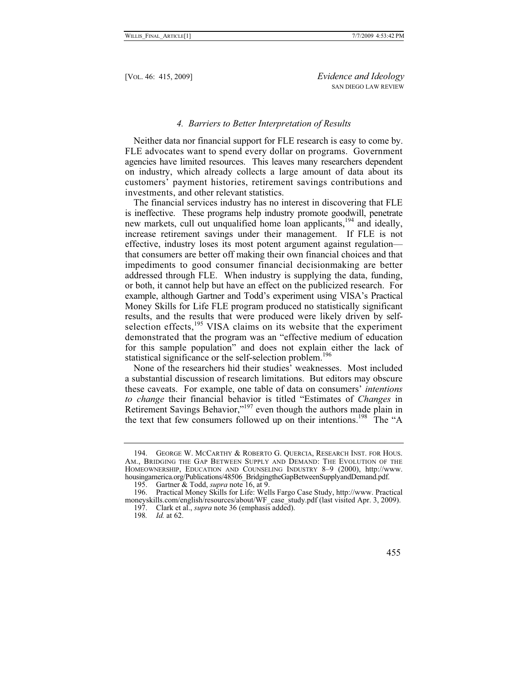# *4. Barriers to Better Interpretation of Results*

Neither data nor financial support for FLE research is easy to come by. FLE advocates want to spend every dollar on programs. Government agencies have limited resources. This leaves many researchers dependent on industry, which already collects a large amount of data about its customers' payment histories, retirement savings contributions and investments, and other relevant statistics.

The financial services industry has no interest in discovering that FLE is ineffective. These programs help industry promote goodwill, penetrate new markets, cull out unqualified home loan applicants,<sup>194</sup> and ideally, increase retirement savings under their management. If FLE is not effective, industry loses its most potent argument against regulation that consumers are better off making their own financial choices and that impediments to good consumer financial decisionmaking are better addressed through FLE. When industry is supplying the data, funding, or both, it cannot help but have an effect on the publicized research. For example, although Gartner and Todd's experiment using VISA's Practical Money Skills for Life FLE program produced no statistically significant results, and the results that were produced were likely driven by selfselection effects,<sup>195</sup> VISA claims on its website that the experiment demonstrated that the program was an "effective medium of education for this sample population" and does not explain either the lack of statistical significance or the self-selection problem.<sup>196</sup>

None of the researchers hid their studies' weaknesses. Most included a substantial discussion of research limitations. But editors may obscure these caveats. For example, one table of data on consumers' *intentions to change* their financial behavior is titled "Estimates of *Changes* in Retirement Savings Behavior,"<sup>197</sup> even though the authors made plain in the text that few consumers followed up on their intentions.<sup>198</sup> The "A

 <sup>194.</sup> GEORGE W. MCCARTHY & ROBERTO G. QUERCIA, RESEARCH INST. FOR HOUS. AM., BRIDGING THE GAP BETWEEN SUPPLY AND DEMAND: THE EVOLUTION OF THE HOMEOWNERSHIP, EDUCATION AND COUNSELING INDUSTRY 8–9 (2000), http://www. housingamerica.org/Publications/48506\_BridgingtheGapBetweenSupplyandDemand.pdf.

 <sup>195.</sup> Gartner & Todd, *supra* note 16, at 9.

 <sup>196.</sup> Practical Money Skills for Life: Wells Fargo Case Study, http://www. Practical moneyskills.com/english/resources/about/WF\_case\_study.pdf (last visited Apr. 3, 2009).

 <sup>197.</sup> Clark et al., *supra* note 36 (emphasis added).

<sup>198</sup>*. Id.* at 62.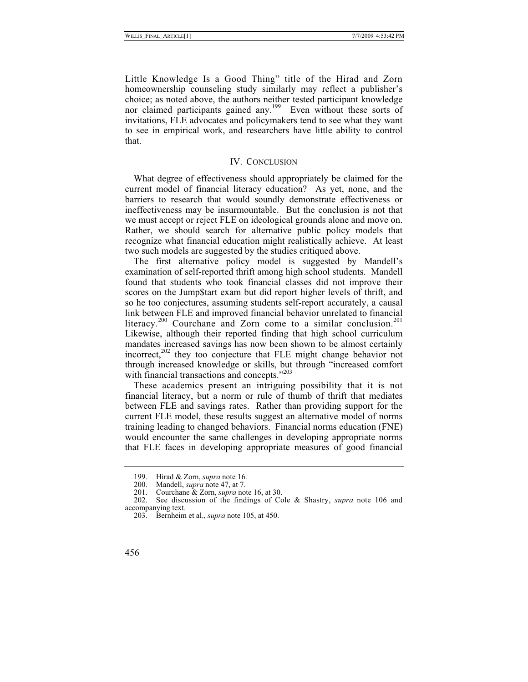Little Knowledge Is a Good Thing" title of the Hirad and Zorn homeownership counseling study similarly may reflect a publisher's choice; as noted above, the authors neither tested participant knowledge nor claimed participants gained any.<sup>199</sup> Even without these sorts of invitations, FLE advocates and policymakers tend to see what they want to see in empirical work, and researchers have little ability to control that.

#### IV. CONCLUSION

What degree of effectiveness should appropriately be claimed for the current model of financial literacy education? As yet, none, and the barriers to research that would soundly demonstrate effectiveness or ineffectiveness may be insurmountable. But the conclusion is not that we must accept or reject FLE on ideological grounds alone and move on. Rather, we should search for alternative public policy models that recognize what financial education might realistically achieve. At least two such models are suggested by the studies critiqued above.

The first alternative policy model is suggested by Mandell's examination of self-reported thrift among high school students. Mandell found that students who took financial classes did not improve their scores on the Jump\$tart exam but did report higher levels of thrift, and so he too conjectures, assuming students self-report accurately, a causal link between FLE and improved financial behavior unrelated to financial literacy.<sup>200</sup> Courchane and Zorn come to a similar conclusion.<sup>201</sup> Likewise, although their reported finding that high school curriculum mandates increased savings has now been shown to be almost certainly incorrect, $202$  they too conjecture that FLE might change behavior not through increased knowledge or skills, but through "increased comfort with financial transactions and concepts."<sup>203</sup>

These academics present an intriguing possibility that it is not financial literacy, but a norm or rule of thumb of thrift that mediates between FLE and savings rates. Rather than providing support for the current FLE model, these results suggest an alternative model of norms training leading to changed behaviors. Financial norms education (FNE) would encounter the same challenges in developing appropriate norms that FLE faces in developing appropriate measures of good financial

 <sup>199.</sup> Hirad & Zorn, *supra* note 16.

<sup>200.</sup> Mandell, *supra* note 47, at 7.<br>201. Courchane & Zorn. *supra* no

 <sup>201.</sup> Courchane & Zorn, *supra* note 16, at 30.

See discussion of the findings of Cole & Shastry, *supra* note 106 and accompanying text.

 <sup>203.</sup> Bernheim et al., *supra* note 105, at 450.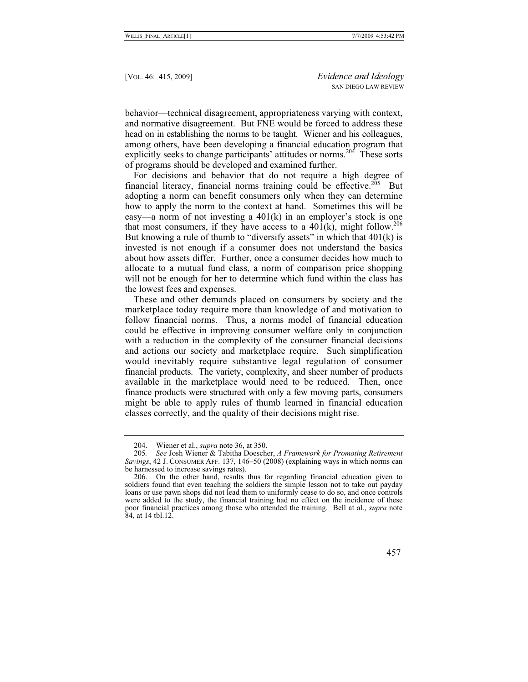behavior—technical disagreement, appropriateness varying with context, and normative disagreement. But FNE would be forced to address these head on in establishing the norms to be taught. Wiener and his colleagues, among others, have been developing a financial education program that explicitly seeks to change participants' attitudes or norms.<sup>204</sup> These sorts of programs should be developed and examined further.

For decisions and behavior that do not require a high degree of financial literacy, financial norms training could be effective.<sup>205</sup> But adopting a norm can benefit consumers only when they can determine how to apply the norm to the context at hand. Sometimes this will be easy—a norm of not investing a 401(k) in an employer's stock is one that most consumers, if they have access to a  $401(k)$ , might follow.<sup>206</sup> But knowing a rule of thumb to "diversify assets" in which that  $401(k)$  is invested is not enough if a consumer does not understand the basics about how assets differ. Further, once a consumer decides how much to allocate to a mutual fund class, a norm of comparison price shopping will not be enough for her to determine which fund within the class has the lowest fees and expenses.

These and other demands placed on consumers by society and the marketplace today require more than knowledge of and motivation to follow financial norms. Thus, a norms model of financial education could be effective in improving consumer welfare only in conjunction with a reduction in the complexity of the consumer financial decisions and actions our society and marketplace require. Such simplification would inevitably require substantive legal regulation of consumer financial products. The variety, complexity, and sheer number of products available in the marketplace would need to be reduced. Then, once finance products were structured with only a few moving parts, consumers might be able to apply rules of thumb learned in financial education classes correctly, and the quality of their decisions might rise.

 <sup>204.</sup> Wiener et al., *supra* note 36, at 350.

<sup>205</sup>*. See* Josh Wiener & Tabitha Doescher, *A Framework for Promoting Retirement Savings*, 42 J. CONSUMER AFF. 137, 146–50 (2008) (explaining ways in which norms can be harnessed to increase savings rates).

 <sup>206.</sup> On the other hand, results thus far regarding financial education given to soldiers found that even teaching the soldiers the simple lesson not to take out payday loans or use pawn shops did not lead them to uniformly cease to do so, and once controls were added to the study, the financial training had no effect on the incidence of these poor financial practices among those who attended the training. Bell at al., *supra* note 84, at 14 tbl.12.